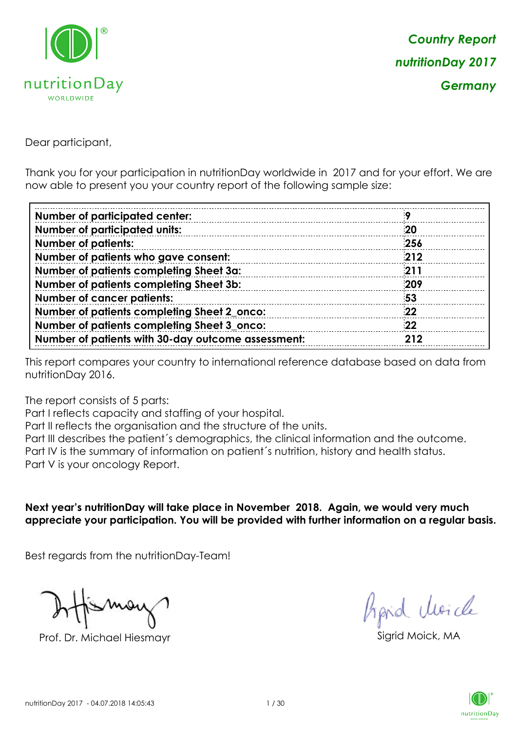

Dear participant,

Thank you for your participation in nutritionDay worldwide in 2017 and for your effort. We are now able to present you your country report of the following sample size:

| <b>Number of participated center:</b>              |     |
|----------------------------------------------------|-----|
| <b>Number of participated units:</b>               | 20  |
| <b>Number of patients:</b>                         | 256 |
| Number of patients who gave consent:               | 212 |
| Number of patients completing Sheet 3a:            | 211 |
| Number of patients completing Sheet 3b:            | 209 |
| <b>Number of cancer patients:</b>                  | 53  |
| Number of patients completing Sheet 2_onco:        | 22  |
| Number of patients completing Sheet 3_onco:        | 22  |
| Number of patients with 30-day outcome assessment: | 212 |

This report compares your country to international reference database based on data from nutritionDay 2016.

The report consists of 5 parts:

Part I reflects capacity and staffing of your hospital.

Part II reflects the organisation and the structure of the units.

Part III describes the patient´s demographics, the clinical information and the outcome.

Part IV is the summary of information on patient´s nutrition, history and health status.

Part V is your oncology Report.

**Next year's nutritionDay will take place in November 2018. Again, we would very much appreciate your participation. You will be provided with further information on a regular basis.**

Best regards from the nutritionDay-Team!

Prof. Dr. Michael Hiesmayr Sigrid Moick, MA

fraid Moicle

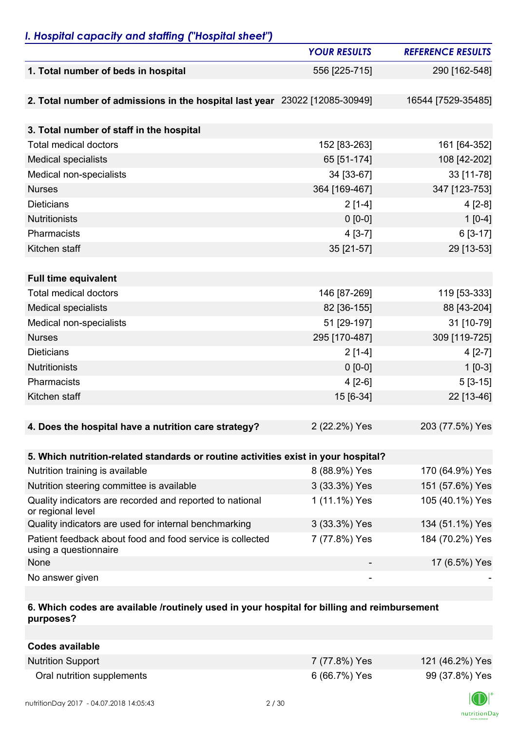### *I. Hospital capacity and staffing ("Hospital sheet")*

|                                                                                    | <b>YOUR RESULTS</b> | <b>REFERENCE RESULTS</b> |
|------------------------------------------------------------------------------------|---------------------|--------------------------|
| 1. Total number of beds in hospital                                                | 556 [225-715]       | 290 [162-548]            |
|                                                                                    |                     |                          |
| 2. Total number of admissions in the hospital last year 23022 [12085-30949]        |                     | 16544 [7529-35485]       |
|                                                                                    |                     |                          |
| 3. Total number of staff in the hospital                                           |                     |                          |
| <b>Total medical doctors</b>                                                       | 152 [83-263]        | 161 [64-352]             |
| <b>Medical specialists</b>                                                         | 65 [51-174]         | 108 [42-202]             |
| Medical non-specialists                                                            | 34 [33-67]          | 33 [11-78]               |
| <b>Nurses</b>                                                                      | 364 [169-467]       | 347 [123-753]            |
| <b>Dieticians</b>                                                                  | $2[1-4]$            | $4[2-8]$                 |
| Nutritionists                                                                      | $0 [0-0]$           | $1[0-4]$                 |
| Pharmacists                                                                        | $4[3-7]$            | $6[3-17]$                |
| Kitchen staff                                                                      | 35 [21-57]          | 29 [13-53]               |
|                                                                                    |                     |                          |
| <b>Full time equivalent</b>                                                        |                     |                          |
| <b>Total medical doctors</b>                                                       | 146 [87-269]        | 119 [53-333]             |
| <b>Medical specialists</b>                                                         | 82 [36-155]         | 88 [43-204]              |
| Medical non-specialists                                                            | 51 [29-197]         | 31 [10-79]               |
| <b>Nurses</b>                                                                      | 295 [170-487]       | 309 [119-725]            |
| <b>Dieticians</b>                                                                  | $2[1-4]$            | $4[2-7]$                 |
| <b>Nutritionists</b>                                                               | $0 [0-0]$           | $1[0-3]$                 |
| Pharmacists                                                                        | $4[2-6]$            | $5[3-15]$                |
| Kitchen staff                                                                      | 15 [6-34]           | 22 [13-46]               |
|                                                                                    |                     |                          |
| 4. Does the hospital have a nutrition care strategy?                               | 2 (22.2%) Yes       | 203 (77.5%) Yes          |
|                                                                                    |                     |                          |
| 5. Which nutrition-related standards or routine activities exist in your hospital? |                     |                          |
| Nutrition training is available                                                    | 8 (88.9%) Yes       | 170 (64.9%) Yes          |
| Nutrition steering committee is available                                          | 3 (33.3%) Yes       | 151 (57.6%) Yes          |
| Quality indicators are recorded and reported to national<br>or regional level      | 1 (11.1%) Yes       | 105 (40.1%) Yes          |
| Quality indicators are used for internal benchmarking                              | 3 (33.3%) Yes       | 134 (51.1%) Yes          |
| Patient feedback about food and food service is collected<br>using a questionnaire | 7 (77.8%) Yes       | 184 (70.2%) Yes          |
| None                                                                               |                     | 17 (6.5%) Yes            |
| No answer given                                                                    |                     |                          |

#### **6. Which codes are available /routinely used in your hospital for billing and reimbursement purposes?**

| Codes available            |               |                 |
|----------------------------|---------------|-----------------|
| <b>Nutrition Support</b>   | 7 (77.8%) Yes | 121 (46.2%) Yes |
| Oral nutrition supplements | 6 (66.7%) Yes | 99 (37.8%) Yes  |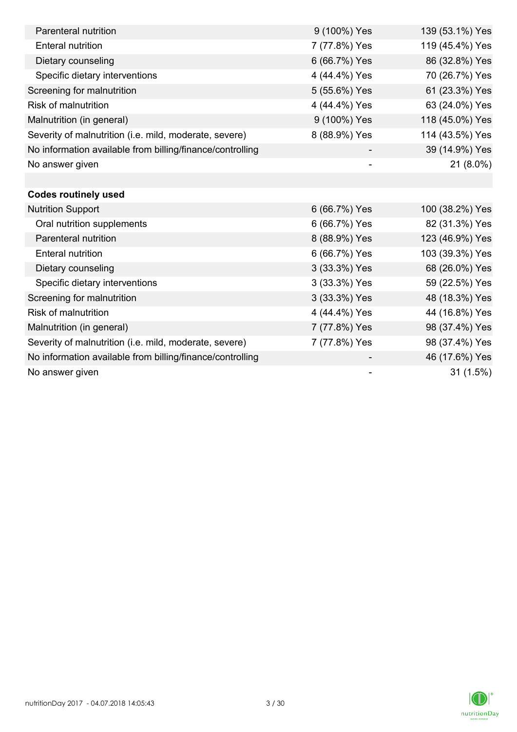| Parenteral nutrition                                      | 9 (100%) Yes             | 139 (53.1%) Yes |
|-----------------------------------------------------------|--------------------------|-----------------|
| <b>Enteral nutrition</b>                                  | 7 (77.8%) Yes            | 119 (45.4%) Yes |
| Dietary counseling                                        | 6 (66.7%) Yes            | 86 (32.8%) Yes  |
| Specific dietary interventions                            | 4 (44.4%) Yes            | 70 (26.7%) Yes  |
| Screening for malnutrition                                | 5 (55.6%) Yes            | 61 (23.3%) Yes  |
| <b>Risk of malnutrition</b>                               | 4 (44.4%) Yes            | 63 (24.0%) Yes  |
| Malnutrition (in general)                                 | 9 (100%) Yes             | 118 (45.0%) Yes |
| Severity of malnutrition (i.e. mild, moderate, severe)    | 8 (88.9%) Yes            | 114 (43.5%) Yes |
| No information available from billing/finance/controlling |                          | 39 (14.9%) Yes  |
| No answer given                                           | $\overline{\phantom{0}}$ | 21 (8.0%)       |
|                                                           |                          |                 |
| <b>Codes routinely used</b>                               |                          |                 |
| <b>Nutrition Support</b>                                  | 6 (66.7%) Yes            | 100 (38.2%) Yes |
| Oral nutrition supplements                                | 6 (66.7%) Yes            | 82 (31.3%) Yes  |
| Parenteral nutrition                                      | 8 (88.9%) Yes            | 123 (46.9%) Yes |
| <b>Enteral nutrition</b>                                  | 6 (66.7%) Yes            | 103 (39.3%) Yes |
| Dietary counseling                                        | 3 (33.3%) Yes            | 68 (26.0%) Yes  |
| Specific dietary interventions                            | 3 (33.3%) Yes            | 59 (22.5%) Yes  |
| Screening for malnutrition                                | 3 (33.3%) Yes            | 48 (18.3%) Yes  |
| <b>Risk of malnutrition</b>                               | 4 (44.4%) Yes            | 44 (16.8%) Yes  |
| Malnutrition (in general)                                 | 7 (77.8%) Yes            | 98 (37.4%) Yes  |
| Severity of malnutrition (i.e. mild, moderate, severe)    | 7 (77.8%) Yes            | 98 (37.4%) Yes  |
| No information available from billing/finance/controlling |                          | 46 (17.6%) Yes  |
| No answer given                                           |                          | 31(1.5%)        |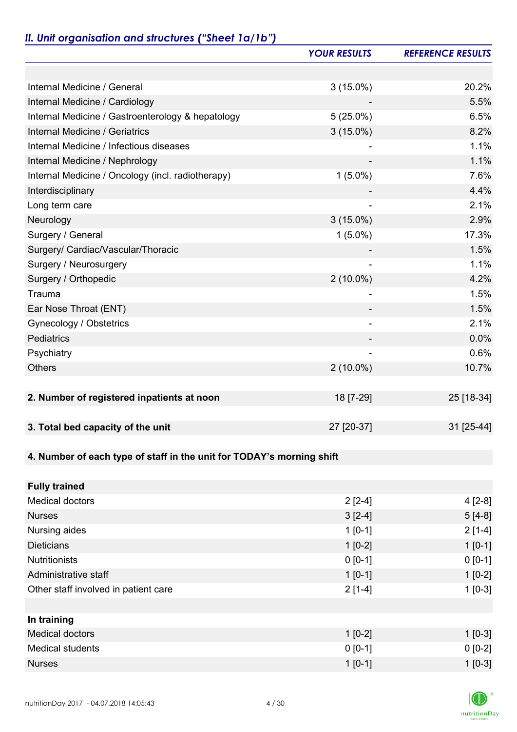# *II. Unit organisation and structures ("Sheet 1a/1b")*

|                                                                       | <b>YOUR RESULTS</b>      | <b>REFERENCE RESULTS</b> |
|-----------------------------------------------------------------------|--------------------------|--------------------------|
|                                                                       |                          |                          |
| Internal Medicine / General                                           | $3(15.0\%)$              | 20.2%                    |
| Internal Medicine / Cardiology                                        |                          | 5.5%                     |
| Internal Medicine / Gastroenterology & hepatology                     | $5(25.0\%)$              | 6.5%                     |
| Internal Medicine / Geriatrics                                        | $3(15.0\%)$              | 8.2%                     |
| Internal Medicine / Infectious diseases                               |                          | 1.1%                     |
| Internal Medicine / Nephrology                                        |                          | 1.1%                     |
| Internal Medicine / Oncology (incl. radiotherapy)                     | $1(5.0\%)$               | 7.6%                     |
| Interdisciplinary                                                     |                          | 4.4%                     |
| Long term care                                                        |                          | 2.1%                     |
| Neurology                                                             | $3(15.0\%)$              | 2.9%                     |
| Surgery / General                                                     | $1(5.0\%)$               | 17.3%                    |
| Surgery/ Cardiac/Vascular/Thoracic                                    |                          | 1.5%                     |
| Surgery / Neurosurgery                                                |                          | 1.1%                     |
| Surgery / Orthopedic                                                  | $2(10.0\%)$              | 4.2%                     |
| Trauma                                                                |                          | 1.5%                     |
| Ear Nose Throat (ENT)                                                 |                          | 1.5%                     |
| Gynecology / Obstetrics                                               | $\overline{\phantom{a}}$ | 2.1%                     |
| <b>Pediatrics</b>                                                     |                          | 0.0%                     |
| Psychiatry                                                            |                          | 0.6%                     |
| <b>Others</b>                                                         | $2(10.0\%)$              | 10.7%                    |
|                                                                       |                          |                          |
| 2. Number of registered inpatients at noon                            | 18 [7-29]                | 25 [18-34]               |
|                                                                       |                          |                          |
| 3. Total bed capacity of the unit                                     | 27 [20-37]               | 31 [25-44]               |
|                                                                       |                          |                          |
| 4. Number of each type of staff in the unit for TODAY's morning shift |                          |                          |
|                                                                       |                          |                          |
| <b>Fully trained</b>                                                  |                          |                          |
| <b>Medical doctors</b>                                                | $2[2-4]$                 | $4[2-8]$                 |
| <b>Nurses</b>                                                         | $3[2-4]$                 | $5[4-8]$                 |
| Nursing aides                                                         | $1 [0-1]$                | $2[1-4]$                 |
| <b>Dieticians</b>                                                     | $1[0-2]$                 | $1[0-1]$                 |
| <b>Nutritionists</b>                                                  | $0 [0-1]$                | $0 [0-1]$                |
| Administrative staff                                                  | $1[0-1]$                 | $1[0-2]$                 |
| Other staff involved in patient care                                  | $2[1-4]$                 | $1[0-3]$                 |
|                                                                       |                          |                          |
| In training                                                           |                          |                          |
| <b>Medical doctors</b>                                                | $1[0-2]$                 | $1[0-3]$                 |
| <b>Medical students</b>                                               | $0 [0-1]$                | $0 [0-2]$                |
| <b>Nurses</b>                                                         | $1 [0-1]$                | $1[0-3]$                 |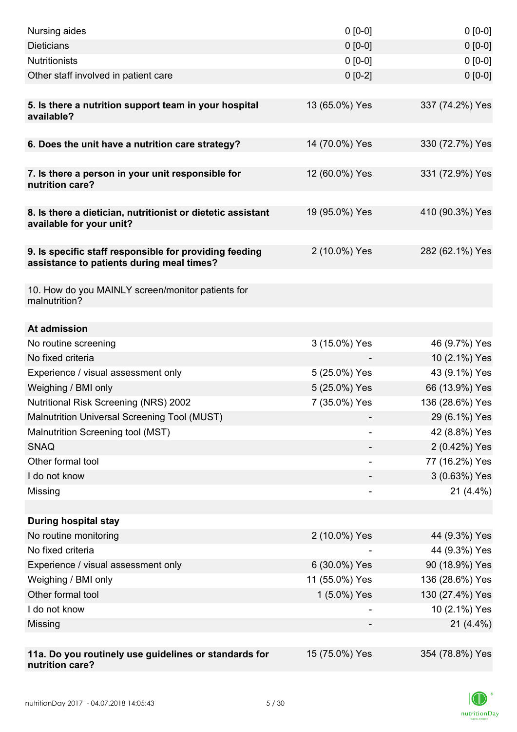| Nursing aides                                                                                       | $0 [0-0]$      | $0[0-0]$        |
|-----------------------------------------------------------------------------------------------------|----------------|-----------------|
| <b>Dieticians</b>                                                                                   | $0 [0-0]$      | $0 [0-0]$       |
| <b>Nutritionists</b>                                                                                | $0 [0-0]$      | $0[0-0]$        |
| Other staff involved in patient care                                                                | $0 [0-2]$      | $0 [0-0]$       |
|                                                                                                     |                |                 |
| 5. Is there a nutrition support team in your hospital<br>available?                                 | 13 (65.0%) Yes | 337 (74.2%) Yes |
| 6. Does the unit have a nutrition care strategy?                                                    | 14 (70.0%) Yes | 330 (72.7%) Yes |
|                                                                                                     |                |                 |
| 7. Is there a person in your unit responsible for<br>nutrition care?                                | 12 (60.0%) Yes | 331 (72.9%) Yes |
| 8. Is there a dietician, nutritionist or dietetic assistant<br>available for your unit?             | 19 (95.0%) Yes | 410 (90.3%) Yes |
| 9. Is specific staff responsible for providing feeding<br>assistance to patients during meal times? | 2 (10.0%) Yes  | 282 (62.1%) Yes |
| 10. How do you MAINLY screen/monitor patients for<br>malnutrition?                                  |                |                 |
| At admission                                                                                        |                |                 |
| No routine screening                                                                                | 3 (15.0%) Yes  | 46 (9.7%) Yes   |
| No fixed criteria                                                                                   |                | 10 (2.1%) Yes   |
| Experience / visual assessment only                                                                 | 5 (25.0%) Yes  | 43 (9.1%) Yes   |
| Weighing / BMI only                                                                                 | 5 (25.0%) Yes  | 66 (13.9%) Yes  |
| <b>Nutritional Risk Screening (NRS) 2002</b>                                                        | 7 (35.0%) Yes  | 136 (28.6%) Yes |
| Malnutrition Universal Screening Tool (MUST)                                                        |                | 29 (6.1%) Yes   |
| Malnutrition Screening tool (MST)                                                                   |                | 42 (8.8%) Yes   |
| <b>SNAQ</b>                                                                                         |                | 2 (0.42%) Yes   |
| Other formal tool                                                                                   |                | 77 (16.2%) Yes  |
| I do not know                                                                                       |                | 3 (0.63%) Yes   |
| Missing                                                                                             | -              | $21(4.4\%)$     |
|                                                                                                     |                |                 |
| <b>During hospital stay</b>                                                                         |                |                 |
| No routine monitoring                                                                               | 2 (10.0%) Yes  | 44 (9.3%) Yes   |
| No fixed criteria                                                                                   |                | 44 (9.3%) Yes   |
| Experience / visual assessment only                                                                 | 6 (30.0%) Yes  | 90 (18.9%) Yes  |
| Weighing / BMI only                                                                                 | 11 (55.0%) Yes | 136 (28.6%) Yes |
| Other formal tool                                                                                   | 1 (5.0%) Yes   | 130 (27.4%) Yes |
| I do not know                                                                                       |                | 10 (2.1%) Yes   |
| Missing                                                                                             |                | $21(4.4\%)$     |
|                                                                                                     |                |                 |
| 11a. Do you routinely use guidelines or standards for<br>nutrition care?                            | 15 (75.0%) Yes | 354 (78.8%) Yes |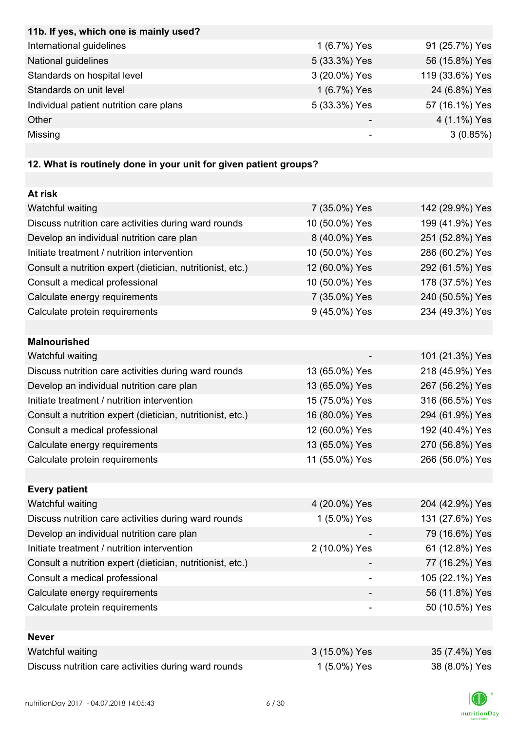| 11b. If yes, which one is mainly used?  |               |                 |
|-----------------------------------------|---------------|-----------------|
| International guidelines                | 1 (6.7%) Yes  | 91 (25.7%) Yes  |
| National guidelines                     | 5 (33.3%) Yes | 56 (15.8%) Yes  |
| Standards on hospital level             | 3 (20.0%) Yes | 119 (33.6%) Yes |
| Standards on unit level                 | 1 (6.7%) Yes  | 24 (6.8%) Yes   |
| Individual patient nutrition care plans | 5 (33.3%) Yes | 57 (16.1%) Yes  |
| Other                                   |               | 4 (1.1%) Yes    |
| Missing                                 |               | 3(0.85%)        |

## **12. What is routinely done in your unit for given patient groups?**

| At risk                                                    |                |                 |
|------------------------------------------------------------|----------------|-----------------|
| Watchful waiting                                           | 7 (35.0%) Yes  | 142 (29.9%) Yes |
| Discuss nutrition care activities during ward rounds       | 10 (50.0%) Yes | 199 (41.9%) Yes |
| Develop an individual nutrition care plan                  | 8 (40.0%) Yes  | 251 (52.8%) Yes |
| Initiate treatment / nutrition intervention                | 10 (50.0%) Yes | 286 (60.2%) Yes |
| Consult a nutrition expert (dietician, nutritionist, etc.) | 12 (60.0%) Yes | 292 (61.5%) Yes |
| Consult a medical professional                             | 10 (50.0%) Yes | 178 (37.5%) Yes |
| Calculate energy requirements                              | 7 (35.0%) Yes  | 240 (50.5%) Yes |
| Calculate protein requirements                             | 9 (45.0%) Yes  | 234 (49.3%) Yes |
|                                                            |                |                 |
| <b>Malnourished</b>                                        |                |                 |
| Watchful waiting                                           |                | 101 (21.3%) Yes |
| Discuss nutrition care activities during ward rounds       | 13 (65.0%) Yes | 218 (45.9%) Yes |
| Develop an individual nutrition care plan                  | 13 (65.0%) Yes | 267 (56.2%) Yes |
| Initiate treatment / nutrition intervention                | 15 (75.0%) Yes | 316 (66.5%) Yes |
| Consult a nutrition expert (dietician, nutritionist, etc.) | 16 (80.0%) Yes | 294 (61.9%) Yes |
| Consult a medical professional                             | 12 (60.0%) Yes | 192 (40.4%) Yes |
| Calculate energy requirements                              | 13 (65.0%) Yes | 270 (56.8%) Yes |
| Calculate protein requirements                             | 11 (55.0%) Yes | 266 (56.0%) Yes |
|                                                            |                |                 |
| <b>Every patient</b>                                       |                |                 |
| Watchful waiting                                           | 4 (20.0%) Yes  | 204 (42.9%) Yes |
| Discuss nutrition care activities during ward rounds       | 1 (5.0%) Yes   | 131 (27.6%) Yes |
| Develop an individual nutrition care plan                  |                | 79 (16.6%) Yes  |
| Initiate treatment / nutrition intervention                | 2 (10.0%) Yes  | 61 (12.8%) Yes  |
| Consult a nutrition expert (dietician, nutritionist, etc.) |                | 77 (16.2%) Yes  |
| Consult a medical professional                             |                | 105 (22.1%) Yes |
| Calculate energy requirements                              |                | 56 (11.8%) Yes  |
| Calculate protein requirements                             |                | 50 (10.5%) Yes  |
|                                                            |                |                 |
| <b>Never</b>                                               |                |                 |
| Watchful waiting                                           | 3 (15.0%) Yes  | 35 (7.4%) Yes   |
| Discuss nutrition care activities during ward rounds       | 1 (5.0%) Yes   | 38 (8.0%) Yes   |

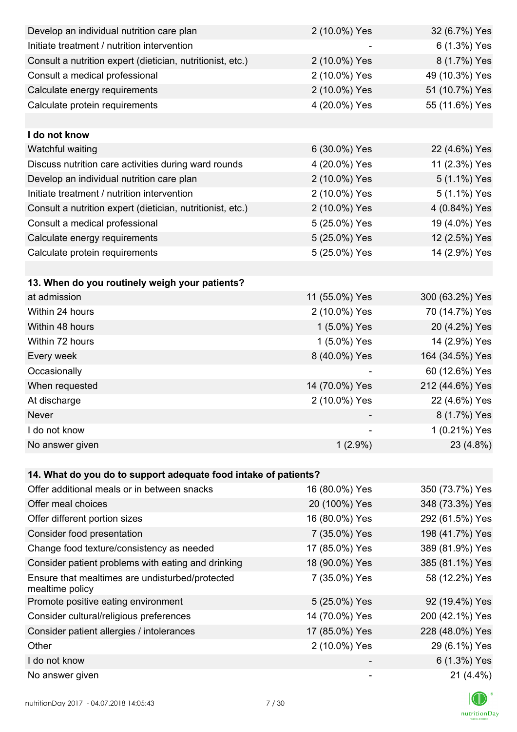| Develop an individual nutrition care plan                          | 2 (10.0%) Yes  | 32 (6.7%) Yes   |
|--------------------------------------------------------------------|----------------|-----------------|
| Initiate treatment / nutrition intervention                        |                | 6 (1.3%) Yes    |
| Consult a nutrition expert (dietician, nutritionist, etc.)         | 2 (10.0%) Yes  | 8 (1.7%) Yes    |
| Consult a medical professional                                     | 2 (10.0%) Yes  | 49 (10.3%) Yes  |
| Calculate energy requirements                                      | 2 (10.0%) Yes  | 51 (10.7%) Yes  |
| Calculate protein requirements                                     | 4 (20.0%) Yes  | 55 (11.6%) Yes  |
|                                                                    |                |                 |
| I do not know                                                      |                |                 |
| Watchful waiting                                                   | 6 (30.0%) Yes  | 22 (4.6%) Yes   |
| Discuss nutrition care activities during ward rounds               | 4 (20.0%) Yes  | 11 (2.3%) Yes   |
| Develop an individual nutrition care plan                          | 2 (10.0%) Yes  | 5 (1.1%) Yes    |
| Initiate treatment / nutrition intervention                        | 2 (10.0%) Yes  | 5 (1.1%) Yes    |
| Consult a nutrition expert (dietician, nutritionist, etc.)         | 2 (10.0%) Yes  | 4 (0.84%) Yes   |
| Consult a medical professional                                     | 5 (25.0%) Yes  | 19 (4.0%) Yes   |
| Calculate energy requirements                                      | 5 (25.0%) Yes  | 12 (2.5%) Yes   |
| Calculate protein requirements                                     | 5 (25.0%) Yes  | 14 (2.9%) Yes   |
|                                                                    |                |                 |
| 13. When do you routinely weigh your patients?                     |                |                 |
| at admission                                                       | 11 (55.0%) Yes | 300 (63.2%) Yes |
| Within 24 hours                                                    | 2 (10.0%) Yes  | 70 (14.7%) Yes  |
| Within 48 hours                                                    | 1 (5.0%) Yes   | 20 (4.2%) Yes   |
| Within 72 hours                                                    | 1 (5.0%) Yes   | 14 (2.9%) Yes   |
| Every week                                                         | 8 (40.0%) Yes  | 164 (34.5%) Yes |
| Occasionally                                                       |                | 60 (12.6%) Yes  |
| When requested                                                     | 14 (70.0%) Yes | 212 (44.6%) Yes |
| At discharge                                                       | 2 (10.0%) Yes  | 22 (4.6%) Yes   |
| Never                                                              |                | 8 (1.7%) Yes    |
| I do not know                                                      |                | 1 (0.21%) Yes   |
| No answer given                                                    | $1(2.9\%)$     | 23 (4.8%)       |
|                                                                    |                |                 |
| 14. What do you do to support adequate food intake of patients?    |                |                 |
| Offer additional meals or in between snacks                        | 16 (80.0%) Yes | 350 (73.7%) Yes |
| Offer meal choices                                                 | 20 (100%) Yes  | 348 (73.3%) Yes |
| Offer different portion sizes                                      | 16 (80.0%) Yes | 292 (61.5%) Yes |
| Consider food presentation                                         | 7 (35.0%) Yes  | 198 (41.7%) Yes |
| Change food texture/consistency as needed                          | 17 (85.0%) Yes | 389 (81.9%) Yes |
| Consider patient problems with eating and drinking                 | 18 (90.0%) Yes | 385 (81.1%) Yes |
| Ensure that mealtimes are undisturbed/protected<br>mealtime policy | 7 (35.0%) Yes  | 58 (12.2%) Yes  |
| Promote positive eating environment                                | 5 (25.0%) Yes  | 92 (19.4%) Yes  |
| Consider cultural/religious preferences                            | 14 (70.0%) Yes | 200 (42.1%) Yes |
| Consider patient allergies / intolerances                          | 17 (85.0%) Yes | 228 (48.0%) Yes |
| Other                                                              | 2 (10.0%) Yes  | 29 (6.1%) Yes   |
| I do not know                                                      |                | 6 (1.3%) Yes    |
| No answer given                                                    |                | 21 (4.4%)       |

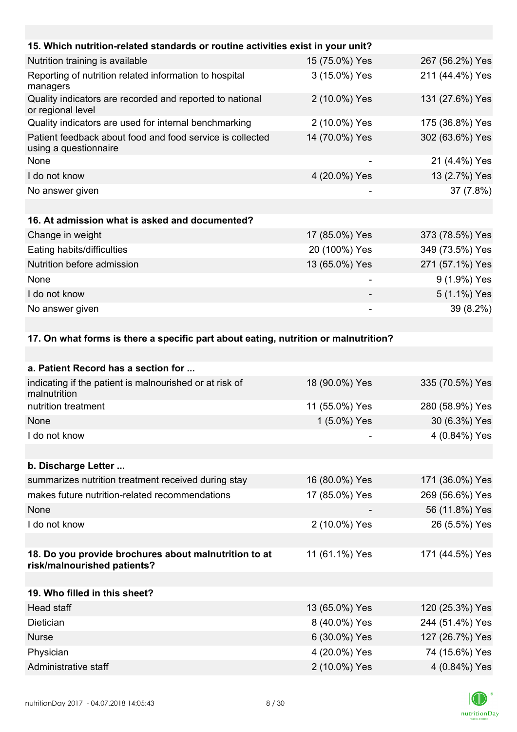| 15. Which nutrition-related standards or routine activities exist in your unit?    |                |                 |
|------------------------------------------------------------------------------------|----------------|-----------------|
| Nutrition training is available                                                    | 15 (75.0%) Yes | 267 (56.2%) Yes |
| Reporting of nutrition related information to hospital<br>managers                 | 3 (15.0%) Yes  | 211 (44.4%) Yes |
| Quality indicators are recorded and reported to national<br>or regional level      | 2 (10.0%) Yes  | 131 (27.6%) Yes |
| Quality indicators are used for internal benchmarking                              | 2 (10.0%) Yes  | 175 (36.8%) Yes |
| Patient feedback about food and food service is collected<br>using a questionnaire | 14 (70.0%) Yes | 302 (63.6%) Yes |
| None                                                                               |                | 21 (4.4%) Yes   |
| I do not know                                                                      | 4 (20.0%) Yes  | 13 (2.7%) Yes   |
| No answer given                                                                    |                | 37 (7.8%)       |
|                                                                                    |                |                 |
| 16. At admission what is asked and documented?                                     |                |                 |
| Change in weight                                                                   | 17 (85.0%) Yes | 373 (78.5%) Yes |
| Eating habits/difficulties                                                         | 20 (100%) Yes  | 349 (73.5%) Yes |
| Nutrition before admission                                                         | 13 (65.0%) Yes | 271 (57.1%) Yes |
| None                                                                               |                | 9 (1.9%) Yes    |
| I do not know                                                                      |                | 5 (1.1%) Yes    |
| No answer given                                                                    |                | 39 (8.2%)       |
|                                                                                    |                |                 |

#### **17. On what forms is there a specific part about eating, nutrition or malnutrition?**

| a. Patient Record has a section for                                                  |                |                 |
|--------------------------------------------------------------------------------------|----------------|-----------------|
| indicating if the patient is malnourished or at risk of<br>malnutrition              | 18 (90.0%) Yes | 335 (70.5%) Yes |
| nutrition treatment                                                                  | 11 (55.0%) Yes | 280 (58.9%) Yes |
| None                                                                                 | 1 (5.0%) Yes   | 30 (6.3%) Yes   |
| I do not know                                                                        |                | 4 (0.84%) Yes   |
|                                                                                      |                |                 |
| b. Discharge Letter                                                                  |                |                 |
| summarizes nutrition treatment received during stay                                  | 16 (80.0%) Yes | 171 (36.0%) Yes |
| makes future nutrition-related recommendations                                       | 17 (85.0%) Yes | 269 (56.6%) Yes |
| None                                                                                 |                | 56 (11.8%) Yes  |
| I do not know                                                                        | 2 (10.0%) Yes  | 26 (5.5%) Yes   |
|                                                                                      |                |                 |
| 18. Do you provide brochures about malnutrition to at<br>risk/malnourished patients? | 11 (61.1%) Yes | 171 (44.5%) Yes |
|                                                                                      |                |                 |
| 19. Who filled in this sheet?                                                        |                |                 |
| <b>Head staff</b>                                                                    | 13 (65.0%) Yes | 120 (25.3%) Yes |
| Dietician                                                                            | 8 (40.0%) Yes  | 244 (51.4%) Yes |
| <b>Nurse</b>                                                                         | 6 (30.0%) Yes  | 127 (26.7%) Yes |
| Physician                                                                            | 4 (20.0%) Yes  | 74 (15.6%) Yes  |
| Administrative staff                                                                 | 2 (10.0%) Yes  | 4 (0.84%) Yes   |
|                                                                                      |                |                 |

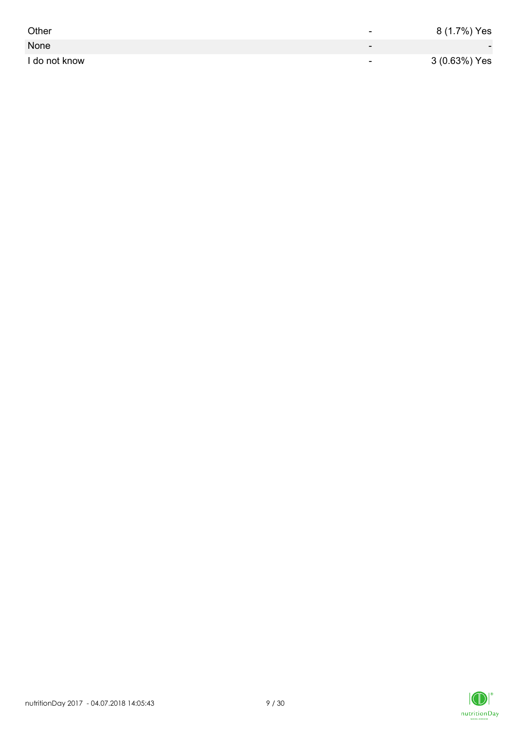| Other         | -                        | 8 (1.7%) Yes             |
|---------------|--------------------------|--------------------------|
| None          | $\overline{\phantom{0}}$ | $\overline{\phantom{0}}$ |
| I do not know | $\overline{\phantom{0}}$ | 3 (0.63%) Yes            |

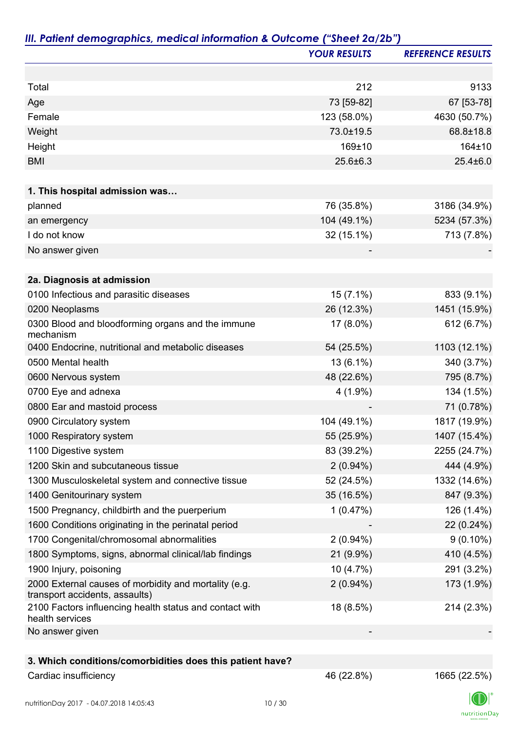|                                                                                         | <b>YOUR RESULTS</b> | <b>REFERENCE RESULTS</b> |
|-----------------------------------------------------------------------------------------|---------------------|--------------------------|
|                                                                                         |                     |                          |
| Total                                                                                   | 212                 | 9133                     |
| Age                                                                                     | 73 [59-82]          | 67 [53-78]               |
| Female                                                                                  | 123 (58.0%)         | 4630 (50.7%)             |
| Weight                                                                                  | 73.0±19.5           | 68.8±18.8                |
| Height                                                                                  | 169±10              | 164±10                   |
| <b>BMI</b>                                                                              | 25.6±6.3            | $25.4 \pm 6.0$           |
|                                                                                         |                     |                          |
| 1. This hospital admission was                                                          |                     |                          |
| planned                                                                                 | 76 (35.8%)          | 3186 (34.9%)             |
| an emergency                                                                            | 104 (49.1%)         | 5234 (57.3%)             |
| I do not know                                                                           | 32 (15.1%)          | 713 (7.8%)               |
| No answer given                                                                         |                     |                          |
| 2a. Diagnosis at admission                                                              |                     |                          |
| 0100 Infectious and parasitic diseases                                                  | $15(7.1\%)$         | 833 (9.1%)               |
| 0200 Neoplasms                                                                          | 26 (12.3%)          | 1451 (15.9%)             |
| 0300 Blood and bloodforming organs and the immune<br>mechanism                          | 17 (8.0%)           | 612 (6.7%)               |
| 0400 Endocrine, nutritional and metabolic diseases                                      | 54 (25.5%)          | 1103 (12.1%)             |
| 0500 Mental health                                                                      | $13(6.1\%)$         | 340 (3.7%)               |
| 0600 Nervous system                                                                     | 48 (22.6%)          | 795 (8.7%)               |
| 0700 Eye and adnexa                                                                     | $4(1.9\%)$          | 134 (1.5%)               |
| 0800 Ear and mastoid process                                                            |                     | 71 (0.78%)               |
| 0900 Circulatory system                                                                 | 104 (49.1%)         | 1817 (19.9%)             |
| 1000 Respiratory system                                                                 | 55 (25.9%)          | 1407 (15.4%)             |
| 1100 Digestive system                                                                   | 83 (39.2%)          | 2255 (24.7%)             |
| 1200 Skin and subcutaneous tissue                                                       | $2(0.94\%)$         | 444 (4.9%)               |
| 1300 Musculoskeletal system and connective tissue                                       | 52 (24.5%)          | 1332 (14.6%)             |
| 1400 Genitourinary system                                                               | 35 (16.5%)          | 847 (9.3%)               |
| 1500 Pregnancy, childbirth and the puerperium                                           | 1(0.47%)            | 126 (1.4%)               |
| 1600 Conditions originating in the perinatal period                                     |                     | 22 (0.24%)               |
| 1700 Congenital/chromosomal abnormalities                                               | $2(0.94\%)$         | $9(0.10\%)$              |
| 1800 Symptoms, signs, abnormal clinical/lab findings                                    | 21 (9.9%)           | 410 (4.5%)               |
| 1900 Injury, poisoning                                                                  | $10(4.7\%)$         | 291 (3.2%)               |
| 2000 External causes of morbidity and mortality (e.g.<br>transport accidents, assaults) | $2(0.94\%)$         | 173 (1.9%)               |
| 2100 Factors influencing health status and contact with<br>health services              | 18 (8.5%)           | 214 (2.3%)               |
| No answer given                                                                         |                     |                          |
| 3. Which conditions/comorbidities does this patient have?                               |                     |                          |
| Cardiac insufficiency                                                                   | 46 (22.8%)          | 1665 (22.5%)             |

I (  $\label{eq:2} \mathsf{nutritionDay}$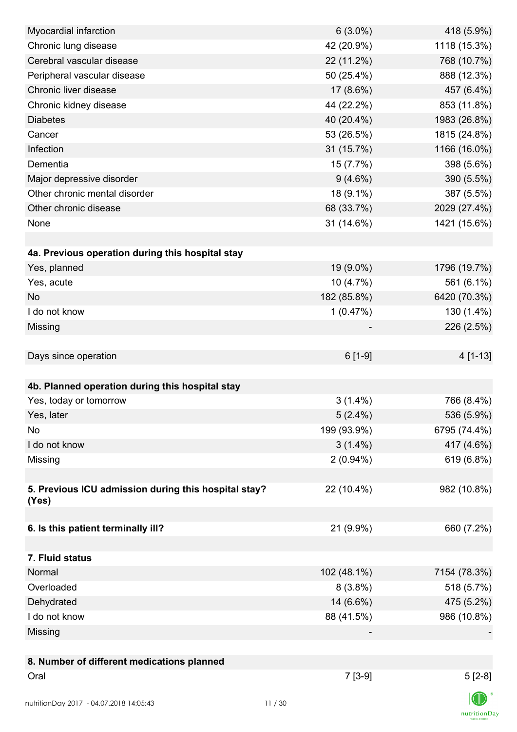| Myocardial infarction                                | $6(3.0\%)$  | 418 (5.9%)   |
|------------------------------------------------------|-------------|--------------|
| Chronic lung disease                                 | 42 (20.9%)  | 1118 (15.3%) |
| Cerebral vascular disease                            | 22 (11.2%)  | 768 (10.7%)  |
| Peripheral vascular disease                          | 50 (25.4%)  | 888 (12.3%)  |
| Chronic liver disease                                | 17 (8.6%)   | 457 (6.4%)   |
| Chronic kidney disease                               | 44 (22.2%)  | 853 (11.8%)  |
| <b>Diabetes</b>                                      | 40 (20.4%)  | 1983 (26.8%) |
| Cancer                                               | 53 (26.5%)  | 1815 (24.8%) |
| Infection                                            | 31 (15.7%)  | 1166 (16.0%) |
| Dementia                                             | 15 (7.7%)   | 398 (5.6%)   |
| Major depressive disorder                            | $9(4.6\%)$  | 390 (5.5%)   |
| Other chronic mental disorder                        | 18 (9.1%)   | 387 (5.5%)   |
| Other chronic disease                                | 68 (33.7%)  | 2029 (27.4%) |
| None                                                 | 31 (14.6%)  | 1421 (15.6%) |
|                                                      |             |              |
| 4a. Previous operation during this hospital stay     |             |              |
| Yes, planned                                         | 19 (9.0%)   | 1796 (19.7%) |
| Yes, acute                                           | 10 (4.7%)   | 561 (6.1%)   |
| <b>No</b>                                            | 182 (85.8%) | 6420 (70.3%) |
| I do not know                                        | 1(0.47%)    | 130 (1.4%)   |
| Missing                                              |             | 226 (2.5%)   |
|                                                      |             |              |
| Days since operation                                 | $6[1-9]$    | 4 [1-13]     |
|                                                      |             |              |
| 4b. Planned operation during this hospital stay      |             |              |
| Yes, today or tomorrow                               | $3(1.4\%)$  | 766 (8.4%)   |
| Yes, later                                           | $5(2.4\%)$  | 536 (5.9%)   |
| No                                                   | 199 (93.9%) | 6795 (74.4%) |
| I do not know                                        | $3(1.4\%)$  | 417 (4.6%)   |
| Missing                                              | $2(0.94\%)$ | 619 (6.8%)   |
|                                                      |             |              |
| 5. Previous ICU admission during this hospital stay? | 22 (10.4%)  | 982 (10.8%)  |
| (Yes)                                                |             |              |
|                                                      |             |              |
| 6. Is this patient terminally ill?                   | 21 (9.9%)   | 660 (7.2%)   |
|                                                      |             |              |
| 7. Fluid status                                      |             |              |
| Normal                                               | 102 (48.1%) | 7154 (78.3%) |
| Overloaded                                           | $8(3.8\%)$  | 518 (5.7%)   |
| Dehydrated                                           | 14 (6.6%)   | 475 (5.2%)   |
| I do not know                                        | 88 (41.5%)  | 986 (10.8%)  |
| Missing                                              |             |              |
|                                                      |             |              |
| 8. Number of different medications planned           |             |              |
| Oral                                                 | $7[3-9]$    | $5[2-8]$     |
|                                                      |             |              |
| nutritionDay 2017 - 04.07.2018 14:05:43              | 11/30       |              |

 $\textsf{nutritionDay}$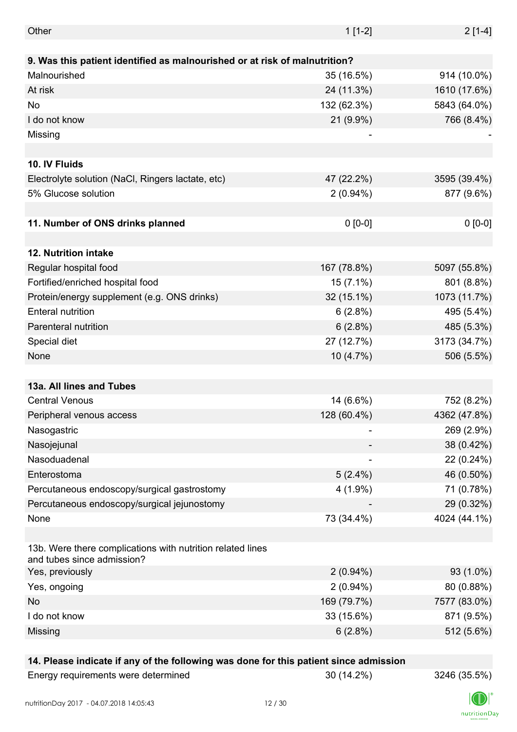| Other                                                                                    | $1[1-2]$    | $2[1-4]$     |
|------------------------------------------------------------------------------------------|-------------|--------------|
|                                                                                          |             |              |
| 9. Was this patient identified as malnourished or at risk of malnutrition?               |             |              |
| Malnourished                                                                             | 35 (16.5%)  | 914 (10.0%)  |
| At risk                                                                                  | 24 (11.3%)  | 1610 (17.6%) |
| No                                                                                       | 132 (62.3%) | 5843 (64.0%) |
| I do not know                                                                            | 21 (9.9%)   | 766 (8.4%)   |
| Missing                                                                                  |             |              |
|                                                                                          |             |              |
| 10. IV Fluids                                                                            |             |              |
| Electrolyte solution (NaCl, Ringers lactate, etc)                                        | 47 (22.2%)  | 3595 (39.4%) |
| 5% Glucose solution                                                                      | $2(0.94\%)$ | 877 (9.6%)   |
|                                                                                          |             |              |
| 11. Number of ONS drinks planned                                                         | $0 [0-0]$   | $0 [0-0]$    |
|                                                                                          |             |              |
| 12. Nutrition intake                                                                     |             |              |
| Regular hospital food                                                                    | 167 (78.8%) | 5097 (55.8%) |
| Fortified/enriched hospital food                                                         | 15 (7.1%)   | 801 (8.8%)   |
| Protein/energy supplement (e.g. ONS drinks)                                              | 32 (15.1%)  | 1073 (11.7%) |
| <b>Enteral nutrition</b>                                                                 | 6(2.8%)     | 495 (5.4%)   |
| Parenteral nutrition                                                                     | 6(2.8%)     | 485 (5.3%)   |
| Special diet                                                                             | 27 (12.7%)  | 3173 (34.7%) |
| None                                                                                     | 10 (4.7%)   | 506 (5.5%)   |
|                                                                                          |             |              |
| 13a. All lines and Tubes                                                                 |             |              |
| <b>Central Venous</b>                                                                    | 14 (6.6%)   | 752 (8.2%)   |
| Peripheral venous access                                                                 | 128 (60.4%) | 4362 (47.8%) |
| Nasogastric                                                                              |             | 269 (2.9%)   |
| Nasojejunal                                                                              |             | 38 (0.42%)   |
| Nasoduadenal                                                                             |             | 22 (0.24%)   |
| Enterostoma                                                                              | $5(2.4\%)$  | 46 (0.50%)   |
| Percutaneous endoscopy/surgical gastrostomy                                              | $4(1.9\%)$  | 71 (0.78%)   |
|                                                                                          |             |              |
| Percutaneous endoscopy/surgical jejunostomy                                              |             | 29 (0.32%)   |
| None                                                                                     | 73 (34.4%)  | 4024 (44.1%) |
|                                                                                          |             |              |
| 13b. Were there complications with nutrition related lines<br>and tubes since admission? |             |              |
| Yes, previously                                                                          | $2(0.94\%)$ | 93 (1.0%)    |
| Yes, ongoing                                                                             | $2(0.94\%)$ | 80 (0.88%)   |
| No                                                                                       | 169 (79.7%) | 7577 (83.0%) |
| I do not know                                                                            | 33 (15.6%)  | 871 (9.5%)   |
| Missing                                                                                  | 6(2.8%)     | 512 (5.6%)   |
|                                                                                          |             |              |

#### **14. Please indicate if any of the following was done for this patient since admission**

Energy requirements were determined 30 (14.2%) 3246 (35.5%)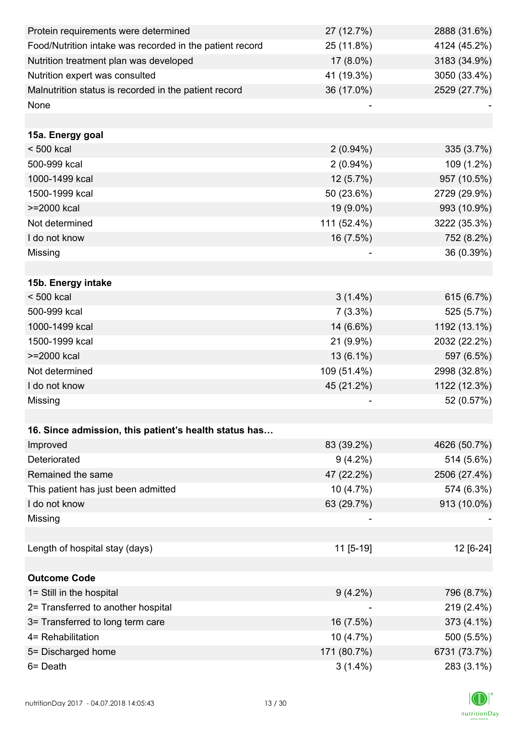| Protein requirements were determined                     | 27 (12.7%)  | 2888 (31.6%) |
|----------------------------------------------------------|-------------|--------------|
| Food/Nutrition intake was recorded in the patient record | 25 (11.8%)  | 4124 (45.2%) |
| Nutrition treatment plan was developed                   | 17 (8.0%)   | 3183 (34.9%) |
| Nutrition expert was consulted                           | 41 (19.3%)  | 3050 (33.4%) |
| Malnutrition status is recorded in the patient record    | 36 (17.0%)  | 2529 (27.7%) |
| None                                                     |             |              |
|                                                          |             |              |
| 15a. Energy goal                                         |             |              |
| $< 500$ kcal                                             | $2(0.94\%)$ | 335 (3.7%)   |
| 500-999 kcal                                             | $2(0.94\%)$ | 109 (1.2%)   |
| 1000-1499 kcal                                           | $12(5.7\%)$ | 957 (10.5%)  |
| 1500-1999 kcal                                           | 50 (23.6%)  | 2729 (29.9%) |
| >=2000 kcal                                              | 19 (9.0%)   | 993 (10.9%)  |
| Not determined                                           | 111 (52.4%) | 3222 (35.3%) |
| I do not know                                            | 16 (7.5%)   | 752 (8.2%)   |
| Missing                                                  |             | 36 (0.39%)   |
|                                                          |             |              |
| 15b. Energy intake                                       |             |              |
| $< 500$ kcal                                             | $3(1.4\%)$  | 615 (6.7%)   |
| 500-999 kcal                                             | $7(3.3\%)$  | 525 (5.7%)   |
| 1000-1499 kcal                                           | 14 (6.6%)   | 1192 (13.1%) |
| 1500-1999 kcal                                           | 21 (9.9%)   | 2032 (22.2%) |
| >=2000 kcal                                              | $13(6.1\%)$ | 597 (6.5%)   |
| Not determined                                           | 109 (51.4%) | 2998 (32.8%) |
| I do not know                                            | 45 (21.2%)  | 1122 (12.3%) |
| Missing                                                  |             | 52 (0.57%)   |
|                                                          |             |              |
| 16. Since admission, this patient's health status has    |             |              |
| Improved                                                 | 83 (39.2%)  | 4626 (50.7%) |
| Deteriorated                                             | $9(4.2\%)$  | 514 (5.6%)   |
| Remained the same                                        | 47 (22.2%)  | 2506 (27.4%) |
| This patient has just been admitted                      | 10 (4.7%)   | 574 (6.3%)   |
| I do not know                                            | 63 (29.7%)  | 913 (10.0%)  |
| Missing                                                  |             |              |
|                                                          |             |              |
| Length of hospital stay (days)                           | 11 [5-19]   | 12 [6-24]    |
|                                                          |             |              |
| <b>Outcome Code</b>                                      |             |              |
| 1= Still in the hospital                                 | $9(4.2\%)$  | 796 (8.7%)   |
| 2= Transferred to another hospital                       |             | 219 (2.4%)   |
| 3= Transferred to long term care                         | 16 (7.5%)   | 373 (4.1%)   |
| 4= Rehabilitation                                        | $10(4.7\%)$ | 500 (5.5%)   |
| 5= Discharged home                                       | 171 (80.7%) | 6731 (73.7%) |
| 6= Death                                                 | $3(1.4\%)$  | 283 (3.1%)   |

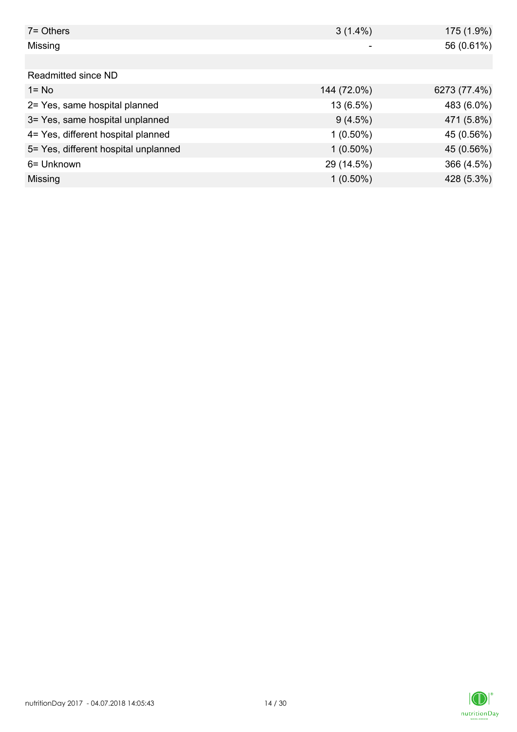| $7 =$ Others                         | $3(1.4\%)$  | 175 (1.9%)   |
|--------------------------------------|-------------|--------------|
| Missing                              | ٠           | 56 (0.61%)   |
|                                      |             |              |
| Readmitted since ND                  |             |              |
| $1 = No$                             | 144 (72.0%) | 6273 (77.4%) |
| 2= Yes, same hospital planned        | 13 (6.5%)   | 483 (6.0%)   |
| 3= Yes, same hospital unplanned      | $9(4.5\%)$  | 471 (5.8%)   |
| 4= Yes, different hospital planned   | $1(0.50\%)$ | 45 (0.56%)   |
| 5= Yes, different hospital unplanned | $1(0.50\%)$ | 45 (0.56%)   |
| 6= Unknown                           | 29 (14.5%)  | 366 (4.5%)   |
| Missing                              | $1(0.50\%)$ | 428 (5.3%)   |

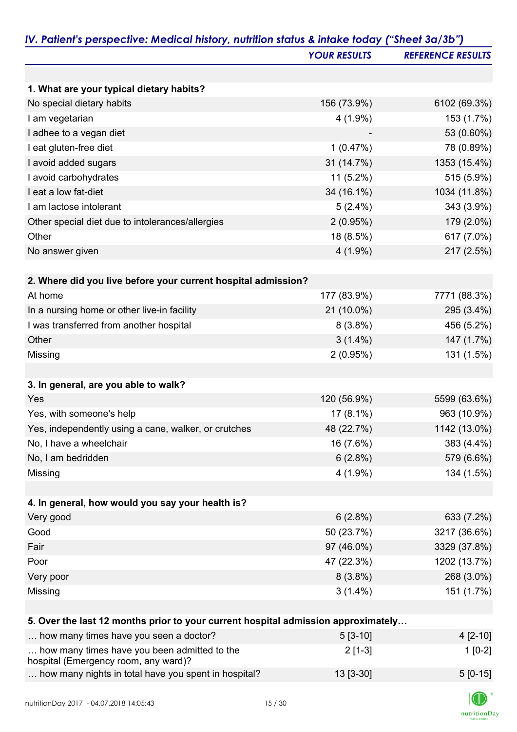|                                                                                   | <b>YOUR RESULTS</b> | <b>REFERENCE RESULTS</b> |
|-----------------------------------------------------------------------------------|---------------------|--------------------------|
|                                                                                   |                     |                          |
| 1. What are your typical dietary habits?                                          |                     |                          |
| No special dietary habits                                                         | 156 (73.9%)         | 6102 (69.3%)             |
| I am vegetarian                                                                   | $4(1.9\%)$          | 153 (1.7%)               |
| I adhee to a vegan diet                                                           |                     | 53 (0.60%)               |
| I eat gluten-free diet                                                            | 1(0.47%)            | 78 (0.89%)               |
| I avoid added sugars                                                              | 31 (14.7%)          | 1353 (15.4%)             |
| I avoid carbohydrates                                                             | $11(5.2\%)$         | 515 (5.9%)               |
| I eat a low fat-diet                                                              | 34 (16.1%)          | 1034 (11.8%)             |
| I am lactose intolerant                                                           | $5(2.4\%)$          | 343 (3.9%)               |
| Other special diet due to intolerances/allergies                                  | 2(0.95%)            | 179 (2.0%)               |
| Other                                                                             | 18 (8.5%)           | 617 (7.0%)               |
| No answer given                                                                   | $4(1.9\%)$          | 217 (2.5%)               |
|                                                                                   |                     |                          |
| 2. Where did you live before your current hospital admission?                     |                     |                          |
| At home                                                                           | 177 (83.9%)         | 7771 (88.3%)             |
| In a nursing home or other live-in facility                                       | 21 (10.0%)          | 295 (3.4%)               |
| I was transferred from another hospital                                           | $8(3.8\%)$          | 456 (5.2%)               |
| Other                                                                             | $3(1.4\%)$          | 147 (1.7%)               |
| Missing                                                                           | 2(0.95%)            | 131 (1.5%)               |
|                                                                                   |                     |                          |
| 3. In general, are you able to walk?                                              |                     |                          |
| Yes                                                                               | 120 (56.9%)         | 5599 (63.6%)             |
| Yes, with someone's help                                                          | $17(8.1\%)$         | 963 (10.9%)              |
| Yes, independently using a cane, walker, or crutches                              | 48 (22.7%)          | 1142 (13.0%)             |
| No, I have a wheelchair                                                           | 16 (7.6%)           | 383 (4.4%)               |
| No, I am bedridden                                                                | 6(2.8%)             | 579 (6.6%)               |
| Missing                                                                           | $4(1.9\%)$          | 134 (1.5%)               |
|                                                                                   |                     |                          |
| 4. In general, how would you say your health is?                                  |                     |                          |
| Very good                                                                         | 6(2.8%)             | 633 (7.2%)               |
| Good                                                                              | 50 (23.7%)          | 3217 (36.6%)             |
| Fair                                                                              | 97 (46.0%)          | 3329 (37.8%)             |
| Poor                                                                              | 47 (22.3%)          | 1202 (13.7%)             |
| Very poor                                                                         | $8(3.8\%)$          | 268 (3.0%)               |
| Missing                                                                           | $3(1.4\%)$          | 151 (1.7%)               |
|                                                                                   |                     |                          |
| 5. Over the last 12 months prior to your current hospital admission approximately |                     |                          |
| how many times have you seen a doctor?                                            | $5[3-10]$           | $4[2-10]$                |
| how many times have you been admitted to the                                      | $2[1-3]$            | $1[0-2]$                 |
| hospital (Emergency room, any ward)?                                              |                     |                          |
| how many nights in total have you spent in hospital?                              | 13 [3-30]           | $5[0-15]$                |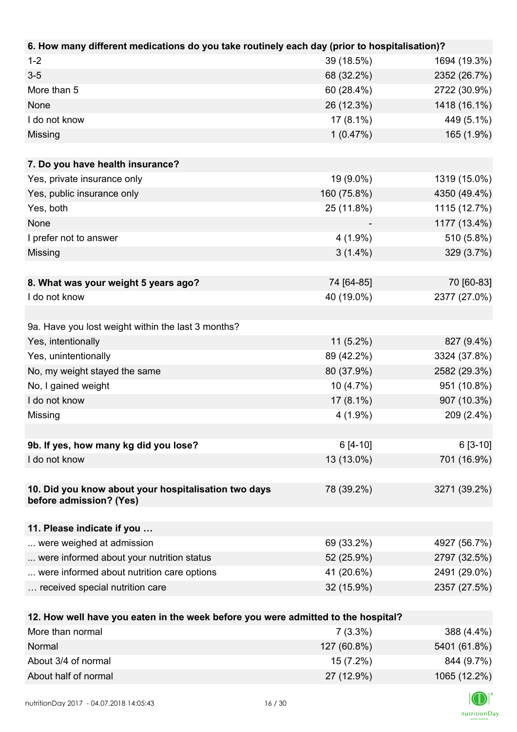| 6. How many different medications do you take routinely each day (prior to hospitalisation)? |             |              |
|----------------------------------------------------------------------------------------------|-------------|--------------|
| $1 - 2$                                                                                      | 39 (18.5%)  | 1694 (19.3%) |
| $3 - 5$                                                                                      | 68 (32.2%)  | 2352 (26.7%) |
| More than 5                                                                                  | 60 (28.4%)  | 2722 (30.9%) |
| None                                                                                         | 26 (12.3%)  | 1418 (16.1%) |
| I do not know                                                                                | $17(8.1\%)$ | 449 (5.1%)   |
| Missing                                                                                      | 1(0.47%)    | 165 (1.9%)   |
|                                                                                              |             |              |
| 7. Do you have health insurance?                                                             |             |              |
| Yes, private insurance only                                                                  | 19 (9.0%)   | 1319 (15.0%) |
| Yes, public insurance only                                                                   | 160 (75.8%) | 4350 (49.4%) |
| Yes, both                                                                                    | 25 (11.8%)  | 1115 (12.7%) |
| None                                                                                         |             | 1177 (13.4%) |
| I prefer not to answer                                                                       | $4(1.9\%)$  | 510 (5.8%)   |
| Missing                                                                                      | $3(1.4\%)$  | 329 (3.7%)   |
|                                                                                              |             |              |
| 8. What was your weight 5 years ago?                                                         | 74 [64-85]  | 70 [60-83]   |
| I do not know                                                                                | 40 (19.0%)  | 2377 (27.0%) |
|                                                                                              |             |              |
| 9a. Have you lost weight within the last 3 months?                                           |             |              |
| Yes, intentionally                                                                           | $11(5.2\%)$ | 827 (9.4%)   |
| Yes, unintentionally                                                                         | 89 (42.2%)  | 3324 (37.8%) |
| No, my weight stayed the same                                                                | 80 (37.9%)  | 2582 (29.3%) |
| No, I gained weight                                                                          | 10 (4.7%)   | 951 (10.8%)  |
| I do not know                                                                                | 17 (8.1%)   | 907 (10.3%)  |
| Missing                                                                                      | $4(1.9\%)$  | 209 (2.4%)   |
|                                                                                              |             |              |
| 9b. If yes, how many kg did you lose?                                                        | $6[4-10]$   | $6[3-10]$    |
| I do not know                                                                                | 13 (13.0%)  | 701 (16.9%)  |
|                                                                                              |             |              |
| 10. Did you know about your hospitalisation two days                                         | 78 (39.2%)  | 3271 (39.2%) |
| before admission? (Yes)                                                                      |             |              |
|                                                                                              |             |              |
| 11. Please indicate if you                                                                   |             |              |
| were weighed at admission                                                                    | 69 (33.2%)  | 4927 (56.7%) |
| were informed about your nutrition status                                                    | 52 (25.9%)  | 2797 (32.5%) |
| were informed about nutrition care options                                                   | 41 (20.6%)  | 2491 (29.0%) |
| received special nutrition care                                                              | 32 (15.9%)  | 2357 (27.5%) |
|                                                                                              |             |              |
| 12. How well have you eaten in the week before you were admitted to the hospital?            |             |              |
| More than normal                                                                             | $7(3.3\%)$  | 388 (4.4%)   |
| Normal                                                                                       | 127 (60.8%) | 5401 (61.8%) |



About 3/4 of normal 844 (9.7%) 844 (9.7%) About half of normal 27 (12.9%) 1065 (12.2%)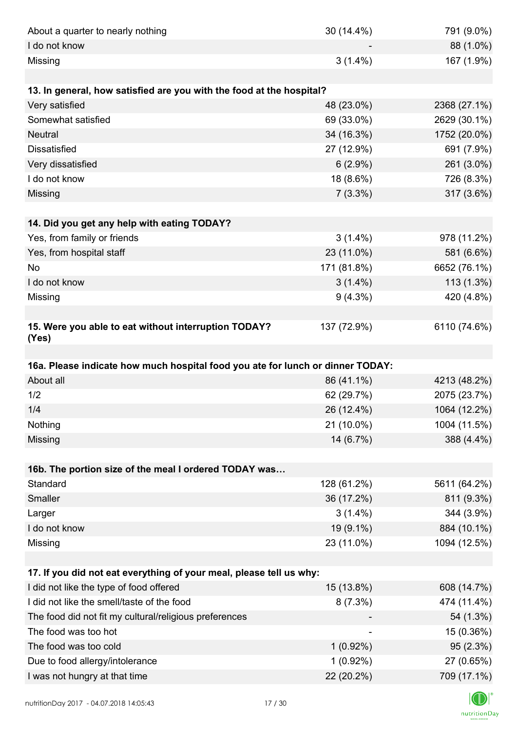| About a quarter to nearly nothing                                              | 30 (14.4%)                | 791 (9.0%)                |
|--------------------------------------------------------------------------------|---------------------------|---------------------------|
| I do not know                                                                  |                           | 88 (1.0%)                 |
| Missing                                                                        | $3(1.4\%)$                | 167 (1.9%)                |
|                                                                                |                           |                           |
| 13. In general, how satisfied are you with the food at the hospital?           |                           |                           |
| Very satisfied                                                                 | 48 (23.0%)                | 2368 (27.1%)              |
| Somewhat satisfied                                                             | 69 (33.0%)                | 2629 (30.1%)              |
| <b>Neutral</b>                                                                 | 34 (16.3%)                | 1752 (20.0%)              |
| <b>Dissatisfied</b>                                                            | 27 (12.9%)                | 691 (7.9%)                |
| Very dissatisfied                                                              | $6(2.9\%)$                | 261 (3.0%)                |
| I do not know                                                                  | 18 (8.6%)                 | 726 (8.3%)                |
| Missing                                                                        | $7(3.3\%)$                | 317 (3.6%)                |
|                                                                                |                           |                           |
| 14. Did you get any help with eating TODAY?                                    |                           |                           |
| Yes, from family or friends                                                    | $3(1.4\%)$                | 978 (11.2%)               |
| Yes, from hospital staff                                                       | 23 (11.0%)                | 581 (6.6%)                |
| No                                                                             | 171 (81.8%)               | 6652 (76.1%)              |
| I do not know                                                                  | $3(1.4\%)$                | 113 (1.3%)                |
| Missing                                                                        | $9(4.3\%)$                | 420 (4.8%)                |
|                                                                                |                           |                           |
| 15. Were you able to eat without interruption TODAY?<br>(Yes)                  | 137 (72.9%)               | 6110 (74.6%)              |
|                                                                                |                           |                           |
|                                                                                |                           |                           |
| 16a. Please indicate how much hospital food you ate for lunch or dinner TODAY: |                           |                           |
| About all                                                                      | 86 (41.1%)                | 4213 (48.2%)              |
| 1/2                                                                            | 62 (29.7%)                | 2075 (23.7%)              |
| 1/4                                                                            | 26 (12.4%)                | 1064 (12.2%)              |
| Nothing                                                                        | 21 (10.0%)                | 1004 (11.5%)              |
| Missing                                                                        | 14 (6.7%)                 | 388 (4.4%)                |
|                                                                                |                           |                           |
| 16b. The portion size of the meal I ordered TODAY was                          |                           |                           |
| Standard                                                                       | 128 (61.2%)               | 5611 (64.2%)              |
| Smaller                                                                        | 36 (17.2%)                | 811 (9.3%)                |
| Larger                                                                         | $3(1.4\%)$                | 344 (3.9%)                |
| I do not know                                                                  | 19 (9.1%)                 | 884 (10.1%)               |
| Missing                                                                        | 23 (11.0%)                | 1094 (12.5%)              |
|                                                                                |                           |                           |
| 17. If you did not eat everything of your meal, please tell us why:            |                           |                           |
| I did not like the type of food offered                                        | 15 (13.8%)                | 608 (14.7%)               |
| I did not like the smell/taste of the food                                     | $8(7.3\%)$                | 474 (11.4%)               |
| The food did not fit my cultural/religious preferences                         |                           | 54 (1.3%)                 |
| The food was too hot                                                           | $\overline{\phantom{a}}$  | 15 (0.36%)                |
| The food was too cold                                                          | $1(0.92\%)$               | 95 (2.3%)                 |
| Due to food allergy/intolerance<br>I was not hungry at that time               | $1(0.92\%)$<br>22 (20.2%) | 27 (0.65%)<br>709 (17.1%) |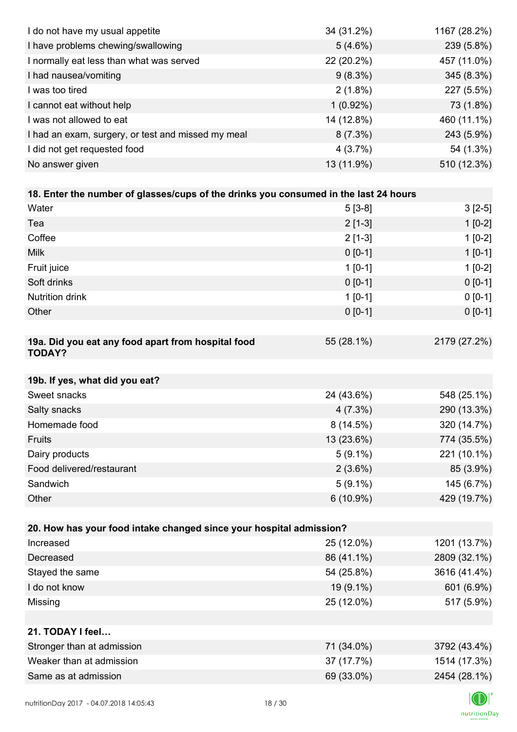| I do not have my usual appetite                                                      | 34 (31.2%)  | 1167 (28.2%) |
|--------------------------------------------------------------------------------------|-------------|--------------|
| I have problems chewing/swallowing                                                   | $5(4.6\%)$  | 239 (5.8%)   |
| I normally eat less than what was served                                             | 22 (20.2%)  | 457 (11.0%)  |
| I had nausea/vomiting                                                                | $9(8.3\%)$  | 345 (8.3%)   |
| I was too tired                                                                      | $2(1.8\%)$  | 227 (5.5%)   |
| I cannot eat without help                                                            | $1(0.92\%)$ | 73 (1.8%)    |
| I was not allowed to eat                                                             | 14 (12.8%)  | 460 (11.1%)  |
| I had an exam, surgery, or test and missed my meal                                   | $8(7.3\%)$  | 243 (5.9%)   |
| I did not get requested food                                                         | 4(3.7%)     | 54 (1.3%)    |
| No answer given                                                                      | 13 (11.9%)  | 510 (12.3%)  |
|                                                                                      |             |              |
| 18. Enter the number of glasses/cups of the drinks you consumed in the last 24 hours |             |              |
| Water                                                                                | $5[3-8]$    | $3[2-5]$     |
| Tea                                                                                  | $2[1-3]$    | $1[0-2]$     |
| Coffee                                                                               | $2[1-3]$    | $1[0-2]$     |
| Milk                                                                                 | $0 [0-1]$   | $1[0-1]$     |
| Fruit juice                                                                          | $1[0-1]$    | $1[0-2]$     |
| Soft drinks                                                                          | $0 [0-1]$   | $0 [0-1]$    |
| Nutrition drink                                                                      | $1 [0-1]$   | $0 [0-1]$    |
| Other                                                                                | $0 [0-1]$   | $0 [0-1]$    |
|                                                                                      |             |              |
| 19a. Did you eat any food apart from hospital food<br><b>TODAY?</b>                  | 55 (28.1%)  | 2179 (27.2%) |
| 19b. If yes, what did you eat?                                                       |             |              |
| Sweet snacks                                                                         | 24 (43.6%)  | 548 (25.1%)  |
| Salty snacks                                                                         | $4(7.3\%)$  | 290 (13.3%)  |
| Homemade food                                                                        | $8(14.5\%)$ | 320 (14.7%)  |
| <b>Fruits</b>                                                                        | 13 (23.6%)  | 774 (35.5%)  |
| Dairy products                                                                       | $5(9.1\%)$  | 221 (10.1%)  |
| Food delivered/restaurant                                                            | $2(3.6\%)$  | 85 (3.9%)    |
| Sandwich                                                                             | $5(9.1\%)$  | 145 (6.7%)   |
| Other                                                                                | $6(10.9\%)$ | 429 (19.7%)  |
|                                                                                      |             |              |
| 20. How has your food intake changed since your hospital admission?                  |             |              |
| Increased                                                                            | 25 (12.0%)  | 1201 (13.7%) |
| Decreased                                                                            | 86 (41.1%)  | 2809 (32.1%) |
| Stayed the same                                                                      | 54 (25.8%)  | 3616 (41.4%) |
| I do not know                                                                        | 19 (9.1%)   | 601 (6.9%)   |
| Missing                                                                              | 25 (12.0%)  | 517 (5.9%)   |
|                                                                                      |             |              |
| 21. TODAY I feel                                                                     |             |              |
| Stronger than at admission                                                           | 71 (34.0%)  | 3792 (43.4%) |
| Weaker than at admission                                                             | 37 (17.7%)  | 1514 (17.3%) |
| Same as at admission                                                                 | 69 (33.0%)  | 2454 (28.1%) |
|                                                                                      |             |              |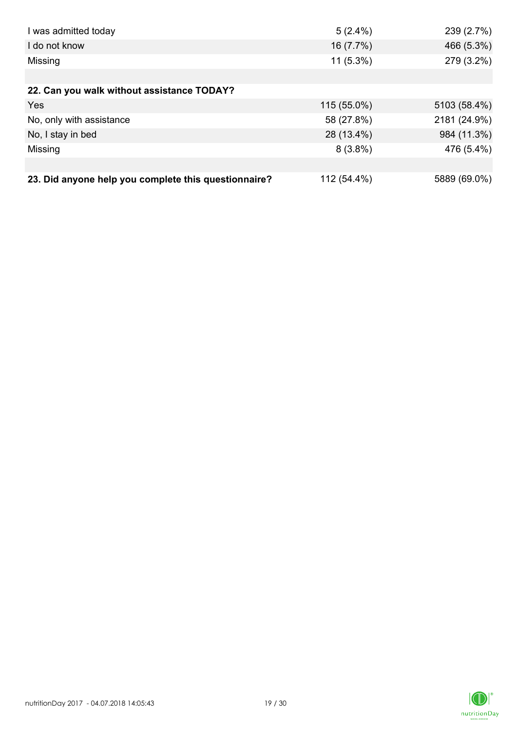| I was admitted today                                 | $5(2.4\%)$  | 239 (2.7%)   |
|------------------------------------------------------|-------------|--------------|
| I do not know                                        | 16 (7.7%)   | 466 (5.3%)   |
| Missing                                              | $11(5.3\%)$ | 279 (3.2%)   |
|                                                      |             |              |
| 22. Can you walk without assistance TODAY?           |             |              |
| Yes                                                  | 115 (55.0%) | 5103 (58.4%) |
| No, only with assistance                             | 58 (27.8%)  | 2181 (24.9%) |
| No, I stay in bed                                    | 28 (13.4%)  | 984 (11.3%)  |
| Missing                                              | $8(3.8\%)$  | 476 (5.4%)   |
|                                                      |             |              |
| 23. Did anyone help you complete this questionnaire? | 112 (54.4%) | 5889 (69.0%) |

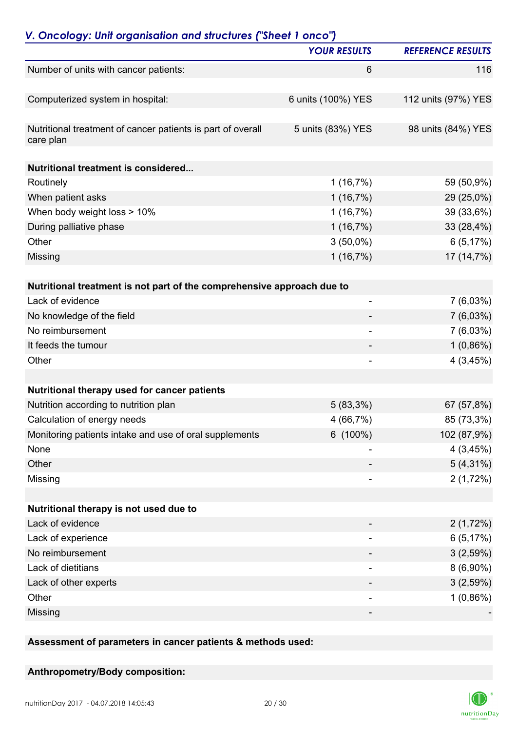|                                                                          | <b>YOUR RESULTS</b> | <b>REFERENCE RESULTS</b> |
|--------------------------------------------------------------------------|---------------------|--------------------------|
| Number of units with cancer patients:                                    | $6\phantom{1}6$     | 116                      |
| Computerized system in hospital:                                         | 6 units (100%) YES  | 112 units (97%) YES      |
| Nutritional treatment of cancer patients is part of overall<br>care plan | 5 units (83%) YES   | 98 units (84%) YES       |
| <b>Nutritional treatment is considered</b>                               |                     |                          |
| Routinely                                                                | 1(16,7%)            | 59 (50,9%)               |
| When patient asks                                                        | 1(16,7%)            | 29 (25,0%)               |
| When body weight loss > 10%                                              | 1(16,7%)            | 39 (33,6%)               |
| During palliative phase                                                  | 1(16,7%)            | 33 (28,4%)               |
| Other                                                                    | $3(50,0\%)$         | 6(5,17%)                 |
| Missing                                                                  | 1(16,7%)            | 17 (14,7%)               |
| Nutritional treatment is not part of the comprehensive approach due to   |                     |                          |
| Lack of evidence                                                         | -                   | 7(6,03%)                 |
| No knowledge of the field                                                |                     | $7(6,03\%)$              |
| No reimbursement                                                         |                     | $7(6,03\%)$              |
| It feeds the tumour                                                      |                     | $1(0,86\%)$              |
| Other                                                                    |                     | 4(3,45%)                 |
|                                                                          |                     |                          |
| Nutritional therapy used for cancer patients                             |                     |                          |
| Nutrition according to nutrition plan                                    | $5(83,3\%)$         | 67 (57,8%)               |
| Calculation of energy needs                                              | 4 (66,7%)           | 85 (73,3%)               |
| Monitoring patients intake and use of oral supplements                   | $6(100\%)$          | 102 (87,9%)              |
| None                                                                     |                     | 4(3,45%)                 |
| Other                                                                    |                     | $5(4,31\%)$              |
| Missing                                                                  |                     | 2(1,72%)                 |
| Nutritional therapy is not used due to                                   |                     |                          |
| Lack of evidence                                                         |                     | 2(1,72%)                 |
| Lack of experience                                                       |                     | 6(5,17%)                 |
| No reimbursement                                                         |                     | 3(2,59%)                 |
| Lack of dietitians                                                       |                     | $8(6,90\%)$              |
| Lack of other experts                                                    |                     | 3(2,59%)                 |
| Other                                                                    |                     | $1(0,86\%)$              |
| Missing                                                                  |                     |                          |
|                                                                          |                     |                          |

**Assessment of parameters in cancer patients & methods used:**

#### **Anthropometry/Body composition:**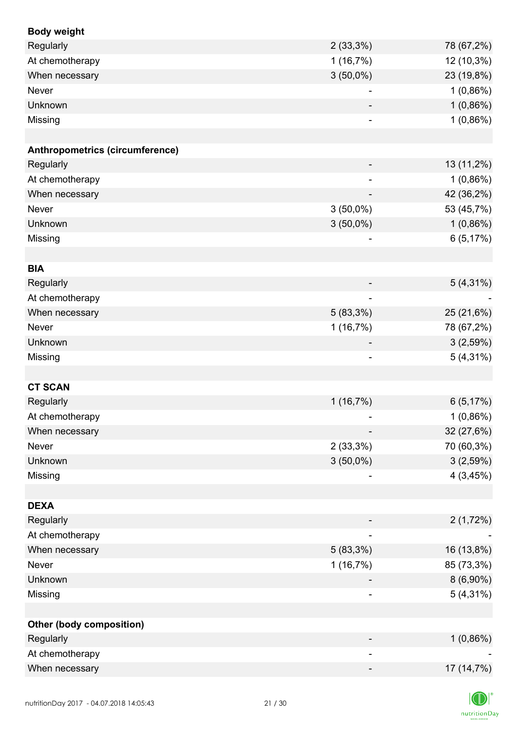| <b>Body weight</b>              |                              |             |
|---------------------------------|------------------------------|-------------|
| Regularly                       | $2(33,3\%)$                  | 78 (67,2%)  |
| At chemotherapy                 | 1(16,7%)                     | 12 (10,3%)  |
| When necessary                  | $3(50,0\%)$                  | 23 (19,8%)  |
| Never                           | $\overline{a}$               | $1(0,86\%)$ |
| Unknown                         |                              | 1(0,86%)    |
| Missing                         |                              | 1(0,86%)    |
|                                 |                              |             |
| Anthropometrics (circumference) |                              |             |
| Regularly                       | -                            | 13 (11,2%)  |
| At chemotherapy                 |                              | 1(0,86%)    |
| When necessary                  |                              | 42 (36,2%)  |
| Never                           | $3(50,0\%)$                  | 53 (45,7%)  |
| Unknown                         | $3(50,0\%)$                  | 1(0,86%)    |
| Missing                         | $\overline{\phantom{a}}$     | 6(5,17%)    |
|                                 |                              |             |
| <b>BIA</b>                      |                              |             |
| Regularly                       |                              | $5(4,31\%)$ |
| At chemotherapy                 | $\overline{\phantom{a}}$     |             |
| When necessary                  | $5(83,3\%)$                  | 25 (21,6%)  |
| Never                           | 1(16,7%)                     | 78 (67,2%)  |
| Unknown                         | $\overline{\phantom{a}}$     | 3(2,59%)    |
| Missing                         | $\qquad \qquad \blacksquare$ | $5(4,31\%)$ |
|                                 |                              |             |
| <b>CT SCAN</b>                  |                              |             |
| Regularly                       | 1(16,7%)                     | 6(5,17%)    |
| At chemotherapy                 |                              | $1(0,86\%)$ |
| When necessary                  |                              | 32 (27,6%)  |
| Never                           | $2(33,3\%)$                  | 70 (60,3%)  |
| Unknown                         | $3(50,0\%)$                  | 3(2,59%)    |
| Missing                         |                              | 4(3,45%)    |
|                                 |                              |             |
| <b>DEXA</b>                     |                              |             |
| Regularly                       |                              | 2(1,72%)    |
| At chemotherapy                 | ۰                            |             |
| When necessary                  | 5 (83,3%)                    | 16 (13,8%)  |
| Never                           | 1(16,7%)                     | 85 (73,3%)  |
| Unknown                         |                              | $8(6,90\%)$ |
| Missing                         |                              | $5(4,31\%)$ |
|                                 |                              |             |
| <b>Other (body composition)</b> |                              |             |
| Regularly                       |                              | $1(0,86\%)$ |
| At chemotherapy                 |                              |             |
| When necessary                  |                              | 17 (14,7%)  |
|                                 |                              |             |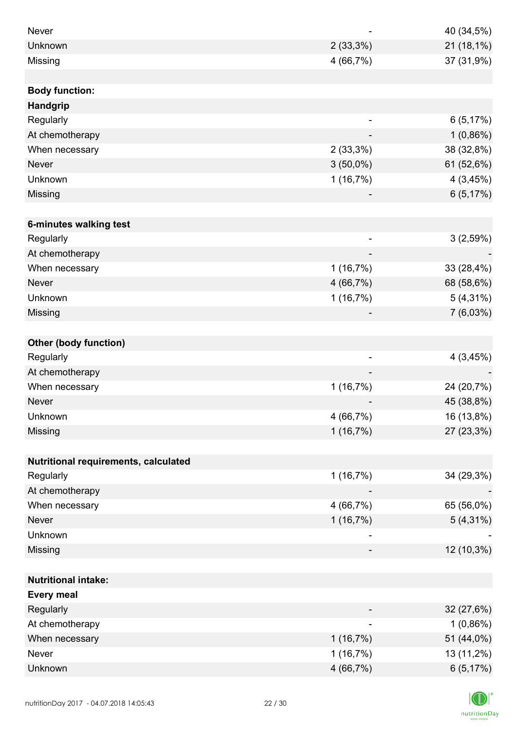| Never                                |                          | 40 (34,5%)  |
|--------------------------------------|--------------------------|-------------|
| Unknown                              | $2(33,3\%)$              | 21 (18,1%)  |
| Missing                              | 4 (66,7%)                | 37 (31,9%)  |
|                                      |                          |             |
| <b>Body function:</b>                |                          |             |
| <b>Handgrip</b>                      |                          |             |
| Regularly                            | ۰                        | 6(5,17%)    |
| At chemotherapy                      |                          | 1(0,86%)    |
| When necessary                       | 2(33,3%)                 | 38 (32,8%)  |
| <b>Never</b>                         | $3(50,0\%)$              | 61 (52,6%)  |
| Unknown                              | 1(16,7%)                 | 4(3,45%)    |
| Missing                              |                          | 6(5,17%)    |
|                                      |                          |             |
| 6-minutes walking test               |                          |             |
| Regularly                            | $\overline{\phantom{a}}$ | 3(2,59%)    |
| At chemotherapy                      |                          |             |
| When necessary                       | 1(16,7%)                 | 33 (28,4%)  |
| <b>Never</b>                         | 4 (66,7%)                | 68 (58,6%)  |
| Unknown                              | 1(16,7%)                 | $5(4,31\%)$ |
| Missing                              |                          | 7(6,03%)    |
|                                      |                          |             |
| <b>Other (body function)</b>         |                          |             |
| Regularly                            | $\overline{\phantom{a}}$ | 4(3,45%)    |
| At chemotherapy                      |                          |             |
| When necessary                       | 1(16,7%)                 | 24 (20,7%)  |
| Never                                |                          | 45 (38,8%)  |
| Unknown                              | 4 (66,7%)                | 16 (13,8%)  |
| Missing                              | 1(16,7%)                 | 27 (23,3%)  |
|                                      |                          |             |
| Nutritional requirements, calculated |                          |             |
| Regularly                            | 1(16,7%)                 | 34 (29,3%)  |
| At chemotherapy                      |                          |             |
| When necessary                       | 4 (66,7%)                | 65 (56,0%)  |
| Never                                | 1(16,7%)                 | $5(4,31\%)$ |
| Unknown                              |                          |             |
| Missing                              |                          | 12 (10,3%)  |
|                                      |                          |             |
| <b>Nutritional intake:</b>           |                          |             |
| <b>Every meal</b>                    |                          |             |
| Regularly                            |                          | 32 (27,6%)  |
| At chemotherapy                      | $\overline{\phantom{a}}$ | $1(0,86\%)$ |
| When necessary                       | 1(16,7%)                 | 51 (44,0%)  |
| Never                                | 1(16,7%)                 | 13 (11,2%)  |
| Unknown                              | 4 (66,7%)                | 6(5,17%)    |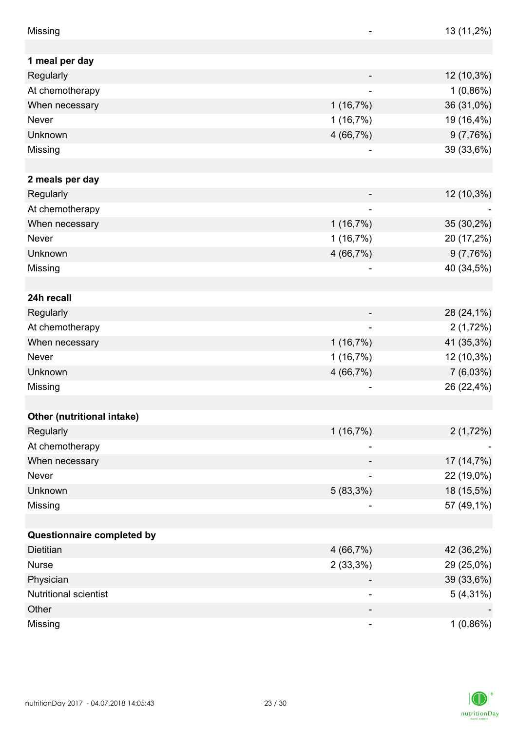| Missing                    |                          | 13 (11,2%)  |
|----------------------------|--------------------------|-------------|
|                            |                          |             |
| 1 meal per day             |                          |             |
| Regularly                  |                          | 12 (10,3%)  |
| At chemotherapy            |                          | 1(0,86%)    |
| When necessary             | 1(16,7%)                 | 36 (31,0%)  |
| Never                      | 1(16,7%)                 | 19 (16,4%)  |
| Unknown                    | 4 (66,7%)                | 9(7,76%)    |
| Missing                    |                          | 39 (33,6%)  |
|                            |                          |             |
| 2 meals per day            |                          |             |
| Regularly                  |                          | 12 (10,3%)  |
| At chemotherapy            |                          |             |
| When necessary             | 1(16,7%)                 | 35 (30,2%)  |
| Never                      | 1(16,7%)                 | 20 (17,2%)  |
| Unknown                    | 4 (66,7%)                | 9(7,76%)    |
| Missing                    | $\overline{\phantom{a}}$ | 40 (34,5%)  |
|                            |                          |             |
| 24h recall                 |                          |             |
| Regularly                  |                          | 28 (24,1%)  |
| At chemotherapy            |                          | 2(1,72%)    |
| When necessary             | 1(16,7%)                 | 41 (35,3%)  |
| Never                      | 1(16,7%)                 | 12 (10,3%)  |
| Unknown                    | 4 (66,7%)                | 7(6,03%)    |
| Missing                    |                          | 26 (22,4%)  |
|                            |                          |             |
| Other (nutritional intake) |                          |             |
| Regularly                  | 1(16,7%)                 | 2(1,72%)    |
| At chemotherapy            |                          |             |
| When necessary             |                          | 17 (14,7%)  |
| Never                      |                          | 22 (19,0%)  |
| Unknown                    | $5(83,3\%)$              | 18 (15,5%)  |
| Missing                    |                          | 57 (49,1%)  |
|                            |                          |             |
| Questionnaire completed by |                          |             |
| <b>Dietitian</b>           | 4 (66,7%)                | 42 (36,2%)  |
| <b>Nurse</b>               | $2(33,3\%)$              | 29 (25,0%)  |
| Physician                  | ۰                        | 39 (33,6%)  |
| Nutritional scientist      |                          | $5(4,31\%)$ |
| Other                      |                          |             |
| Missing                    | ۰                        | $1(0,86\%)$ |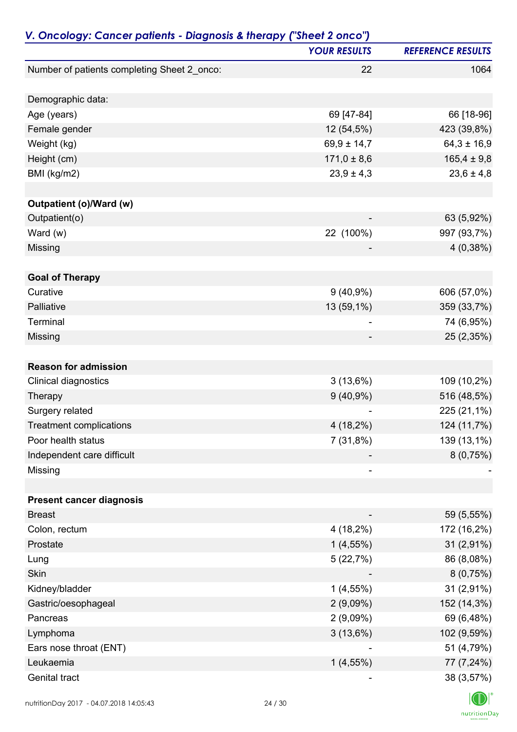| V. Oncology: Cancer patients - Diagnosis & therapy ("Sheet 2 onco") |                     |                          |
|---------------------------------------------------------------------|---------------------|--------------------------|
|                                                                     | <b>YOUR RESULTS</b> | <b>REFERENCE RESULTS</b> |
| Number of patients completing Sheet 2_onco:                         | 22                  | 1064                     |
| Demographic data:                                                   |                     |                          |
|                                                                     | 69 [47-84]          | 66 [18-96]               |
| Age (years)                                                         |                     |                          |
| Female gender                                                       | 12 (54,5%)          | 423 (39,8%)              |
| Weight (kg)                                                         | $69,9 \pm 14,7$     | $64,3 \pm 16,9$          |
| Height (cm)                                                         | $171,0 \pm 8,6$     | $165,4 \pm 9,8$          |
| BMI (kg/m2)                                                         | $23,9 \pm 4,3$      | $23,6 \pm 4,8$           |
| Outpatient (o)/Ward (w)                                             |                     |                          |
| Outpatient(o)                                                       |                     | 63 (5,92%)               |
| Ward $(w)$                                                          | 22 (100%)           | 997 (93,7%)              |
| Missing                                                             |                     | 4(0,38%)                 |
| <b>Goal of Therapy</b>                                              |                     |                          |
| Curative                                                            | $9(40,9\%)$         | 606 (57,0%)              |
| Palliative                                                          | 13 (59,1%)          | 359 (33,7%)              |
| Terminal                                                            |                     |                          |
|                                                                     |                     | 74 (6,95%)               |
| Missing                                                             |                     | 25 (2,35%)               |
| <b>Reason for admission</b>                                         |                     |                          |
| Clinical diagnostics                                                | 3(13,6%)            | 109 (10,2%)              |
| Therapy                                                             | $9(40,9\%)$         | 516 (48,5%)              |
| Surgery related                                                     |                     | 225 (21,1%)              |
| <b>Treatment complications</b>                                      | 4 (18,2%)           | 124 (11,7%)              |
| Poor health status                                                  | 7(31,8%)            | 139 (13,1%)              |
| Independent care difficult                                          |                     | 8(0,75%)                 |
| Missing                                                             |                     |                          |
|                                                                     |                     |                          |
| <b>Present cancer diagnosis</b>                                     |                     |                          |
| <b>Breast</b>                                                       |                     | 59 (5,55%)               |
| Colon, rectum                                                       | $4(18,2\%)$         | 172 (16,2%)              |
| Prostate                                                            | $1(4,55\%)$         | $31(2,91\%)$             |
| Lung                                                                | 5(22,7%)            | 86 (8,08%)               |
| Skin                                                                |                     | 8(0,75%)                 |
| Kidney/bladder                                                      | $1(4,55\%)$         | 31 (2,91%)               |
| Gastric/oesophageal                                                 | 2(9,09%)            | 152 (14,3%)              |
| Pancreas                                                            | 2(9,09%)            | 69 (6,48%)               |
| Lymphoma                                                            | 3(13,6%)            | 102 (9,59%)              |
| Ears nose throat (ENT)                                              |                     | 51 (4,79%)               |
| Leukaemia                                                           | $1(4,55\%)$         | 77 (7,24%)               |
| Genital tract                                                       |                     | 38 (3,57%)               |
|                                                                     |                     |                          |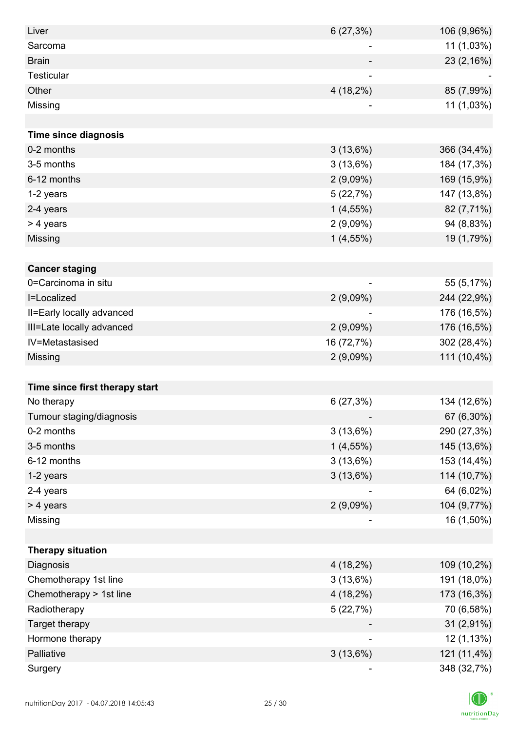| Liver                          | 6(27,3%)    | 106 (9,96%) |
|--------------------------------|-------------|-------------|
| Sarcoma                        | -           | 11 (1,03%)  |
| <b>Brain</b>                   |             | 23 (2,16%)  |
| <b>Testicular</b>              |             |             |
| Other                          | $4(18,2\%)$ | 85 (7,99%)  |
| Missing                        |             | 11 (1,03%)  |
|                                |             |             |
| <b>Time since diagnosis</b>    |             |             |
| 0-2 months                     | 3(13,6%)    | 366 (34,4%) |
| 3-5 months                     | 3(13,6%)    | 184 (17,3%) |
| 6-12 months                    | $2(9,09\%)$ | 169 (15,9%) |
| 1-2 years                      | 5(22,7%)    | 147 (13,8%) |
| 2-4 years                      | $1(4,55\%)$ | 82 (7,71%)  |
| > 4 years                      | $2(9,09\%)$ | 94 (8,83%)  |
| Missing                        | $1(4,55\%)$ | 19 (1,79%)  |
|                                |             |             |
| <b>Cancer staging</b>          |             |             |
| 0=Carcinoma in situ            |             | 55 (5,17%)  |
| I=Localized                    | 2(9,09%)    | 244 (22,9%) |
| II=Early locally advanced      |             | 176 (16,5%) |
| III=Late locally advanced      | 2(9,09%)    | 176 (16,5%) |
| IV=Metastasised                | 16 (72,7%)  | 302 (28,4%) |
| Missing                        | 2(9,09%)    | 111 (10,4%) |
|                                |             |             |
| Time since first therapy start |             |             |
| No therapy                     | 6(27,3%)    | 134 (12,6%) |
| Tumour staging/diagnosis       |             | 67 (6,30%)  |
| 0-2 months                     | 3(13,6%)    | 290 (27,3%) |
| 3-5 months                     | $1(4,55\%)$ | 145 (13,6%) |
| 6-12 months                    | 3(13,6%)    | 153 (14,4%) |
| 1-2 years                      | 3(13,6%)    | 114 (10,7%) |
| 2-4 years                      |             | 64 (6,02%)  |
| > 4 years                      | 2(9,09%)    | 104 (9,77%) |
| Missing                        | ۰           | 16 (1,50%)  |
|                                |             |             |
| <b>Therapy situation</b>       |             |             |
| Diagnosis                      | $4(18,2\%)$ | 109 (10,2%) |
| Chemotherapy 1st line          | 3(13,6%)    | 191 (18,0%) |
| Chemotherapy > 1st line        | $4(18,2\%)$ | 173 (16,3%) |
| Radiotherapy                   | 5(22,7%)    | 70 (6,58%)  |
| Target therapy                 |             | 31 (2,91%)  |
| Hormone therapy                |             | 12 (1,13%)  |
| Palliative                     | $3(13,6\%)$ | 121 (11,4%) |
| Surgery                        |             | 348 (32,7%) |

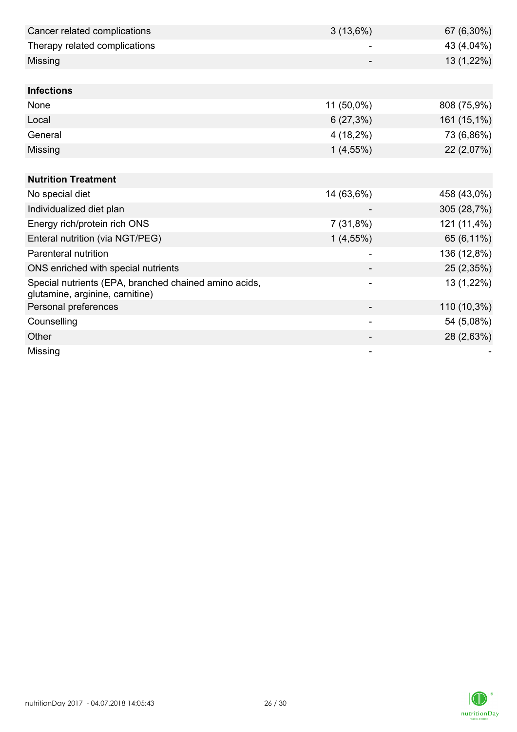| Cancer related complications                                                             | 3(13,6%)    | 67 (6,30%)  |
|------------------------------------------------------------------------------------------|-------------|-------------|
| Therapy related complications                                                            |             | 43 (4,04%)  |
| Missing                                                                                  |             | 13 (1,22%)  |
|                                                                                          |             |             |
| <b>Infections</b>                                                                        |             |             |
| None                                                                                     | 11 (50,0%)  | 808 (75,9%) |
| Local                                                                                    | 6(27,3%)    | 161 (15,1%) |
| General                                                                                  | $4(18,2\%)$ | 73 (6,86%)  |
| Missing                                                                                  | $1(4,55\%)$ | 22 (2,07%)  |
|                                                                                          |             |             |
| <b>Nutrition Treatment</b>                                                               |             |             |
| No special diet                                                                          | 14 (63,6%)  | 458 (43,0%) |
| Individualized diet plan                                                                 |             | 305 (28,7%) |
| Energy rich/protein rich ONS                                                             | 7(31,8%)    | 121 (11,4%) |
| Enteral nutrition (via NGT/PEG)                                                          | $1(4,55\%)$ | 65 (6,11%)  |
| Parenteral nutrition                                                                     |             | 136 (12,8%) |
| ONS enriched with special nutrients                                                      |             | 25 (2,35%)  |
| Special nutrients (EPA, branched chained amino acids,<br>glutamine, arginine, carnitine) |             | 13 (1,22%)  |
| Personal preferences                                                                     |             | 110 (10,3%) |
| Counselling                                                                              |             | 54 (5,08%)  |
| Other                                                                                    |             | 28 (2,63%)  |
| Missing                                                                                  |             |             |

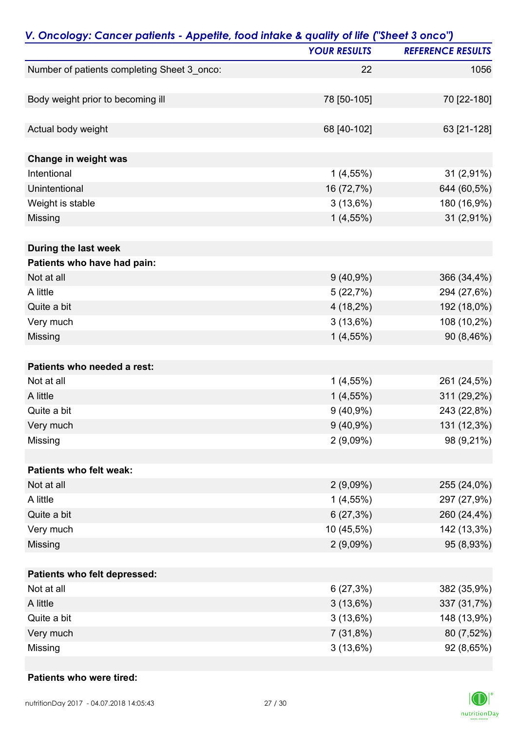| V. Oncology: Cancer patients - Appetite, food intake & quality of life ("Sheet 3 onco") |                     |                          |
|-----------------------------------------------------------------------------------------|---------------------|--------------------------|
|                                                                                         | <b>YOUR RESULTS</b> | <b>REFERENCE RESULTS</b> |
| Number of patients completing Sheet 3_onco:                                             | 22                  | 1056                     |
| Body weight prior to becoming ill                                                       | 78 [50-105]         | 70 [22-180]              |
|                                                                                         |                     |                          |
| Actual body weight                                                                      | 68 [40-102]         | 63 [21-128]              |
| Change in weight was                                                                    |                     |                          |
| Intentional                                                                             | $1(4,55\%)$         | 31 (2,91%)               |
| Unintentional                                                                           | 16 (72,7%)          | 644 (60,5%)              |
| Weight is stable                                                                        | 3(13,6%)            | 180 (16,9%)              |
| Missing                                                                                 | $1(4,55\%)$         | 31 (2,91%)               |
| During the last week                                                                    |                     |                          |
| Patients who have had pain:                                                             |                     |                          |
| Not at all                                                                              | $9(40,9\%)$         | 366 (34,4%)              |
| A little                                                                                | 5(22,7%)            | 294 (27,6%)              |
| Quite a bit                                                                             | $4(18,2\%)$         | 192 (18,0%)              |
| Very much                                                                               | 3(13,6%)            | 108 (10,2%)              |
| Missing                                                                                 | $1(4,55\%)$         | 90 (8,46%)               |
| Patients who needed a rest:                                                             |                     |                          |
| Not at all                                                                              | $1(4,55\%)$         | 261 (24,5%)              |
| A little                                                                                | $1(4,55\%)$         | 311 (29,2%)              |
| Quite a bit                                                                             | $9(40,9\%)$         | 243 (22,8%)              |
| Very much                                                                               | $9(40,9\%)$         | 131 (12,3%)              |
| Missing                                                                                 | $2(9,09\%)$         | 98 (9,21%)               |
| Patients who felt weak:                                                                 |                     |                          |
| Not at all                                                                              | $2(9,09\%)$         | 255 (24,0%)              |
| A little                                                                                | $1(4,55\%)$         | 297 (27,9%)              |
| Quite a bit                                                                             | 6(27,3%)            | 260 (24,4%)              |
| Very much                                                                               | 10 (45,5%)          | 142 (13,3%)              |
| Missing                                                                                 | $2(9,09\%)$         | 95 (8,93%)               |
| Patients who felt depressed:                                                            |                     |                          |
| Not at all                                                                              | 6(27,3%)            | 382 (35,9%)              |
| A little                                                                                | 3(13,6%)            | 337 (31,7%)              |
| Quite a bit                                                                             | 3(13,6%)            | 148 (13,9%)              |
| Very much                                                                               | 7(31,8%)            | 80 (7,52%)               |
| Missing                                                                                 | 3(13,6%)            | 92 (8,65%)               |

#### **Patients who were tired:**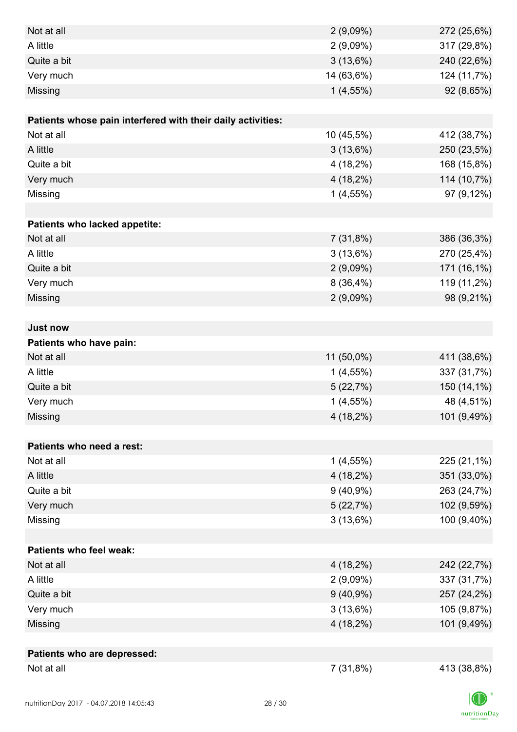| Not at all                                                  | 2(9,09%)    | 272 (25,6%) |
|-------------------------------------------------------------|-------------|-------------|
| A little                                                    | 2(9,09%)    | 317 (29,8%) |
| Quite a bit                                                 | 3(13,6%)    | 240 (22,6%) |
| Very much                                                   | 14 (63,6%)  | 124 (11,7%) |
| Missing                                                     | $1(4,55\%)$ | 92 (8,65%)  |
|                                                             |             |             |
| Patients whose pain interfered with their daily activities: |             |             |
| Not at all                                                  | 10 (45,5%)  | 412 (38,7%) |
| A little                                                    | $3(13,6\%)$ | 250 (23,5%) |
| Quite a bit                                                 | $4(18,2\%)$ | 168 (15,8%) |
| Very much                                                   | $4(18,2\%)$ | 114 (10,7%) |
| Missing                                                     | $1(4,55\%)$ | 97 (9,12%)  |
|                                                             |             |             |
| Patients who lacked appetite:                               |             |             |
| Not at all                                                  | 7(31,8%)    | 386 (36,3%) |
| A little                                                    | 3(13,6%)    | 270 (25,4%) |
| Quite a bit                                                 | $2(9,09\%)$ | 171 (16,1%) |
| Very much                                                   | 8(36,4%)    | 119 (11,2%) |
| Missing                                                     | 2(9,09%)    | 98 (9,21%)  |
|                                                             |             |             |
| <b>Just now</b>                                             |             |             |
| Patients who have pain:                                     |             |             |
| Not at all                                                  | 11 (50,0%)  | 411 (38,6%) |
| A little                                                    | $1(4,55\%)$ | 337 (31,7%) |
| Quite a bit                                                 | 5(22,7%)    | 150 (14,1%) |
| Very much                                                   | $1(4,55\%)$ | 48 (4,51%)  |
| Missing                                                     | $4(18,2\%)$ | 101 (9,49%) |
|                                                             |             |             |
| Patients who need a rest:                                   |             |             |
| Not at all                                                  | $1(4,55\%)$ | 225 (21,1%) |
| A little                                                    | $4(18,2\%)$ | 351 (33,0%) |
| Quite a bit                                                 | $9(40,9\%)$ | 263 (24,7%) |
| Very much                                                   | 5(22,7%)    | 102 (9,59%) |
| Missing                                                     | 3(13,6%)    | 100 (9,40%) |
|                                                             |             |             |
| <b>Patients who feel weak:</b>                              |             |             |
| Not at all                                                  | $4(18,2\%)$ | 242 (22,7%) |
| A little                                                    | 2(9,09%)    | 337 (31,7%) |
| Quite a bit                                                 | $9(40,9\%)$ | 257 (24,2%) |
| Very much                                                   | 3(13,6%)    | 105 (9,87%) |
| Missing                                                     | $4(18,2\%)$ | 101 (9,49%) |
|                                                             |             |             |
| Patients who are depressed:                                 |             |             |
| Not at all                                                  | 7(31,8%)    | 413 (38,8%) |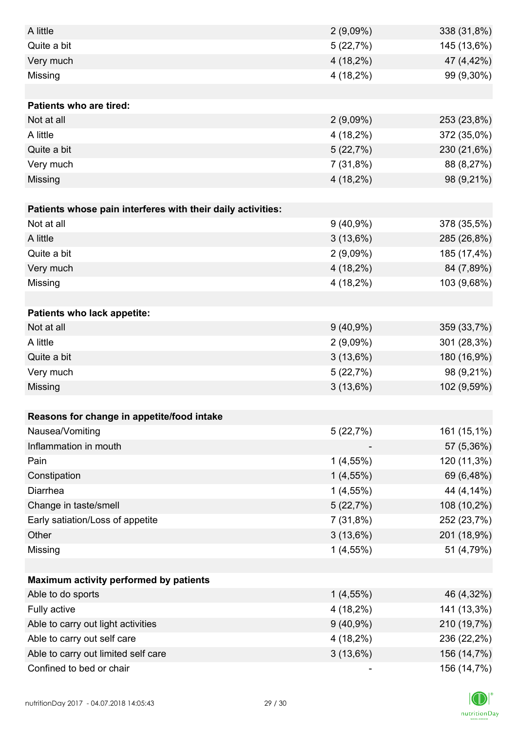| A little                                                    | $2(9,09\%)$ | 338 (31,8%) |
|-------------------------------------------------------------|-------------|-------------|
| Quite a bit                                                 | 5(22,7%)    | 145 (13,6%) |
| Very much                                                   | $4(18,2\%)$ | 47 (4,42%)  |
| Missing                                                     | 4 (18,2%)   | 99 (9,30%)  |
|                                                             |             |             |
| <b>Patients who are tired:</b>                              |             |             |
| Not at all                                                  | $2(9,09\%)$ | 253 (23,8%) |
| A little                                                    | 4 (18,2%)   | 372 (35,0%) |
| Quite a bit                                                 | 5(22,7%)    | 230 (21,6%) |
| Very much                                                   | 7(31,8%)    | 88 (8,27%)  |
| Missing                                                     | $4(18,2\%)$ | 98 (9,21%)  |
|                                                             |             |             |
| Patients whose pain interferes with their daily activities: |             |             |
| Not at all                                                  | $9(40,9\%)$ | 378 (35,5%) |
| A little                                                    | 3(13,6%)    | 285 (26,8%) |
| Quite a bit                                                 | 2(9,09%)    | 185 (17,4%) |
| Very much                                                   | $4(18,2\%)$ | 84 (7,89%)  |
| Missing                                                     | 4 (18,2%)   | 103 (9,68%) |
|                                                             |             |             |
| <b>Patients who lack appetite:</b>                          |             |             |
| Not at all                                                  | $9(40,9\%)$ | 359 (33,7%) |
| A little                                                    | 2(9,09%)    | 301 (28,3%) |
| Quite a bit                                                 | $3(13,6\%)$ | 180 (16,9%) |
| Very much                                                   | 5(22,7%)    | 98 (9,21%)  |
| Missing                                                     | 3(13,6%)    | 102 (9,59%) |
|                                                             |             |             |
| Reasons for change in appetite/food intake                  |             |             |
| Nausea/Vomiting                                             | 5(22,7%)    | 161 (15,1%) |
| Inflammation in mouth                                       |             | 57 (5,36%)  |
| Pain                                                        | $1(4,55\%)$ | 120 (11,3%) |
| Constipation                                                | $1(4,55\%)$ | 69 (6,48%)  |
| Diarrhea                                                    | 1(4,55%)    | 44 (4,14%)  |
| Change in taste/smell                                       | 5(22,7%)    | 108 (10,2%) |
| Early satiation/Loss of appetite                            | 7(31,8%)    | 252 (23,7%) |
| Other                                                       | 3(13,6%)    | 201 (18,9%) |
| Missing                                                     | 1(4,55%)    | 51 (4,79%)  |
|                                                             |             |             |
| Maximum activity performed by patients                      |             |             |
| Able to do sports                                           | $1(4,55\%)$ | 46 (4,32%)  |
| Fully active                                                | 4 (18,2%)   | 141 (13,3%) |
| Able to carry out light activities                          | $9(40,9\%)$ | 210 (19,7%) |
| Able to carry out self care                                 | $4(18,2\%)$ | 236 (22,2%) |
| Able to carry out limited self care                         | 3(13,6%)    | 156 (14,7%) |
| Confined to bed or chair                                    |             | 156 (14,7%) |